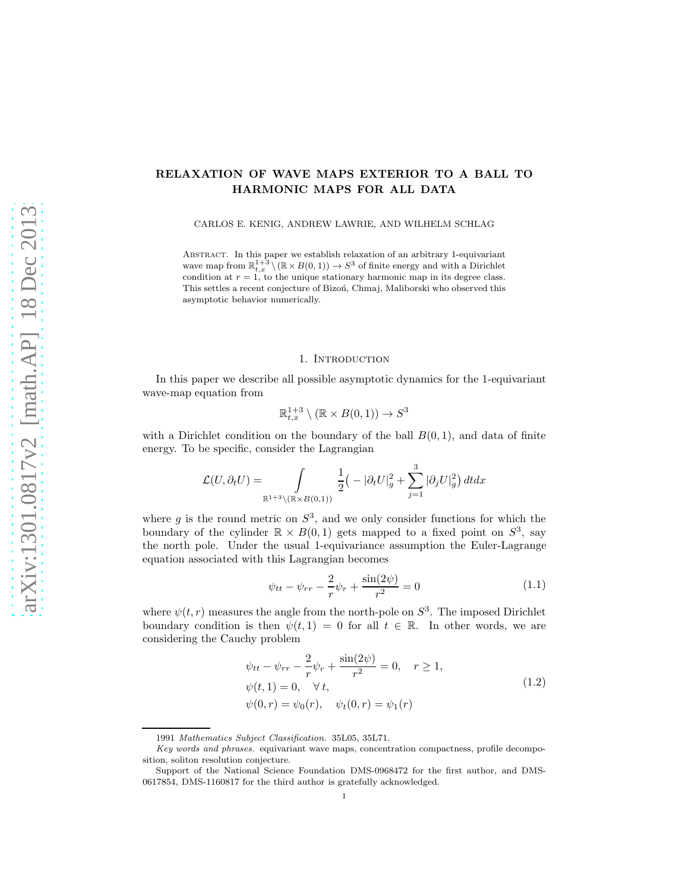# RELAXATION OF WAVE MAPS EXTERIOR TO A BALL TO HARMONIC MAPS FOR ALL DATA

CARLOS E. KENIG, ANDREW LAWRIE, AND WILHELM SCHLAG

Abstract. In this paper we establish relaxation of an arbitrary 1-equivariant wave map from  $\mathbb{R}^{1+3}_{t,x} \setminus (\mathbb{R} \times B(0, 1)) \to S^3$  of finite energy and with a Dirichlet condition at  $r = 1$ , to the unique stationary harmonic map in its degree class. This settles a recent conjecture of Bizon, Chmaj, Maliborski who observed this asymptotic behavior numerically.

### 1. INTRODUCTION

In this paper we describe all possible asymptotic dynamics for the 1-equivariant wave-map equation from

$$
\mathbb{R}^{1+3}_{t,x}\setminus (\mathbb{R}\times B(0,1))\to S^3
$$

with a Dirichlet condition on the boundary of the ball  $B(0, 1)$ , and data of finite energy. To be specific, consider the Lagrangian

$$
\mathcal{L}(U,\partial_t U) = \int\limits_{\mathbb{R}^{1+3}\setminus (\mathbb{R}\times B(0,1))} \frac{1}{2}\big(-|\partial_t U|^2_g + \sum_{j=1}^3 |\partial_j U|^2_g\big)\, dtdx
$$

where  $g$  is the round metric on  $S^3$ , and we only consider functions for which the boundary of the cylinder  $\mathbb{R} \times B(0,1)$  gets mapped to a fixed point on  $S^3$ , say the north pole. Under the usual 1-equivariance assumption the Euler-Lagrange equation associated with this Lagrangian becomes

$$
\psi_{tt} - \psi_{rr} - \frac{2}{r}\psi_r + \frac{\sin(2\psi)}{r^2} = 0
$$
\n(1.1)

where  $\psi(t, r)$  measures the angle from the north-pole on  $S^3$ . The imposed Dirichlet boundary condition is then  $\psi(t, 1) = 0$  for all  $t \in \mathbb{R}$ . In other words, we are considering the Cauchy problem

$$
\psi_{tt} - \psi_{rr} - \frac{2}{r} \psi_r + \frac{\sin(2\psi)}{r^2} = 0, \quad r \ge 1,\n\psi(t, 1) = 0, \quad \forall t,\n\psi(0, r) = \psi_0(r), \quad \psi_t(0, r) = \psi_1(r)
$$
\n(1.2)

<span id="page-0-0"></span><sup>1991</sup> Mathematics Subject Classification. 35L05, 35L71.

Key words and phrases. equivariant wave maps, concentration compactness, profile decomposition, soliton resolution conjecture.

Support of the National Science Foundation DMS-0968472 for the first author, and DMS-0617854, DMS-1160817 for the third author is gratefully acknowledged.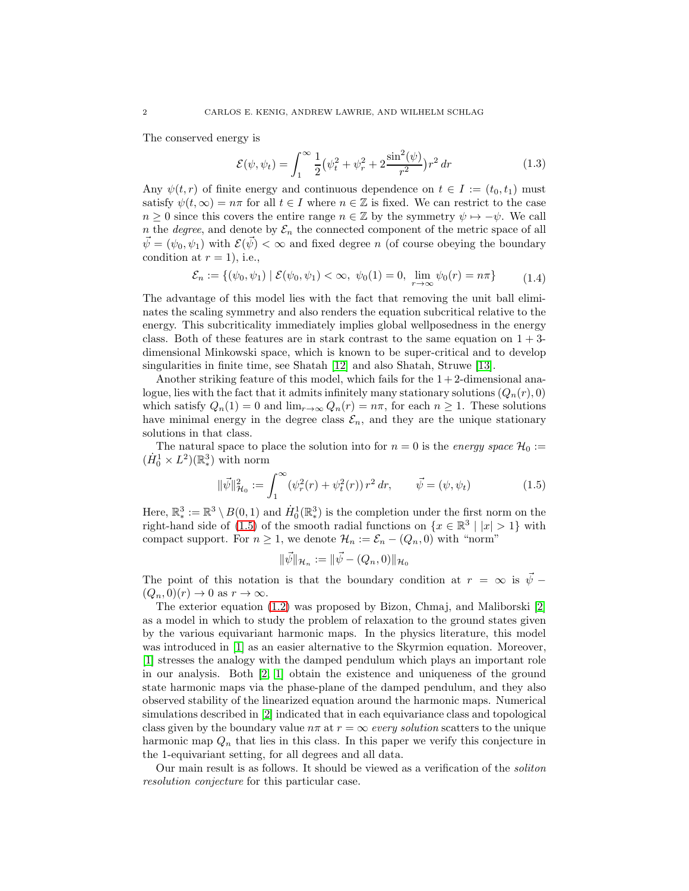The conserved energy is

$$
\mathcal{E}(\psi, \psi_t) = \int_1^{\infty} \frac{1}{2} \left( \psi_t^2 + \psi_r^2 + 2 \frac{\sin^2(\psi)}{r^2} \right) r^2 \, dr \tag{1.3}
$$

Any  $\psi(t,r)$  of finite energy and continuous dependence on  $t \in I := (t_0, t_1)$  must satisfy  $\psi(t,\infty) = n\pi$  for all  $t \in I$  where  $n \in \mathbb{Z}$  is fixed. We can restrict to the case  $n \geq 0$  since this covers the entire range  $n \in \mathbb{Z}$  by the symmetry  $\psi \mapsto -\psi$ . We call n the *degree*, and denote by  $\mathcal{E}_n$  the connected component of the metric space of all  $\vec{\psi} = (\psi_0, \psi_1)$  with  $\mathcal{E}(\vec{\psi}) < \infty$  and fixed degree n (of course obeying the boundary condition at  $r = 1$ , i.e.,

$$
\mathcal{E}_n := \{ (\psi_0, \psi_1) \mid \mathcal{E}(\psi_0, \psi_1) < \infty, \ \psi_0(1) = 0, \ \lim_{r \to \infty} \psi_0(r) = n\pi \} \tag{1.4}
$$

The advantage of this model lies with the fact that removing the unit ball eliminates the scaling symmetry and also renders the equation subcritical relative to the energy. This subcriticality immediately implies global wellposedness in the energy class. Both of these features are in stark contrast to the same equation on  $1 + 3$ dimensional Minkowski space, which is known to be super-critical and to develop singularities in finite time, see Shatah [\[12\]](#page-31-0) and also Shatah, Struwe [\[13\]](#page-31-1).

Another striking feature of this model, which fails for the  $1+2$ -dimensional analogue, lies with the fact that it admits infinitely many stationary solutions  $(Q_n(r), 0)$ which satisfy  $Q_n(1) = 0$  and  $\lim_{r \to \infty} Q_n(r) = n\pi$ , for each  $n \ge 1$ . These solutions have minimal energy in the degree class  $\mathcal{E}_n$ , and they are the unique stationary solutions in that class.

The natural space to place the solution into for  $n = 0$  is the *energy space*  $\mathcal{H}_0 :=$  $(\dot{H}_0^1 \times L^2)(\mathbb{R}^3)$  with norm

$$
\|\vec{\psi}\|_{\mathcal{H}_0}^2 := \int_1^\infty (\psi_r^2(r) + \psi_t^2(r)) r^2 dr, \qquad \vec{\psi} = (\psi, \psi_t)
$$
 (1.5)

<span id="page-1-0"></span>Here,  $\mathbb{R}^3_* := \mathbb{R}^3 \setminus B(0,1)$  and  $\dot{H}_0^1(\mathbb{R}^3_*)$  is the completion under the first norm on the right-hand side of [\(1.5\)](#page-1-0) of the smooth radial functions on  $\{x \in \mathbb{R}^3 \mid |x| > 1\}$  with compact support. For  $n \geq 1$ , we denote  $\mathcal{H}_n := \mathcal{E}_n - (Q_n, 0)$  with "norm"

$$
\|\vec{\psi}\|_{\mathcal{H}_n} := \|\vec{\psi} - (Q_n, 0)\|_{\mathcal{H}_0}
$$

The point of this notation is that the boundary condition at  $r = \infty$  is  $\vec{\psi}$  −  $(Q_n, 0)(r) \to 0$  as  $r \to \infty$ .

The exterior equation [\(1.2\)](#page-0-0) was proposed by Bizon, Chmaj, and Maliborski [\[2\]](#page-31-2) as a model in which to study the problem of relaxation to the ground states given by the various equivariant harmonic maps. In the physics literature, this model was introduced in [\[1\]](#page-31-3) as an easier alternative to the Skyrmion equation. Moreover, [\[1\]](#page-31-3) stresses the analogy with the damped pendulum which plays an important role in our analysis. Both [\[2,](#page-31-2) [1\]](#page-31-3) obtain the existence and uniqueness of the ground state harmonic maps via the phase-plane of the damped pendulum, and they also observed stability of the linearized equation around the harmonic maps. Numerical simulations described in [\[2\]](#page-31-2) indicated that in each equivariance class and topological class given by the boundary value  $n\pi$  at  $r = \infty$  *every solution* scatters to the unique harmonic map  $Q_n$  that lies in this class. In this paper we verify this conjecture in the 1-equivariant setting, for all degrees and all data.

Our main result is as follows. It should be viewed as a verification of the *soliton resolution conjecture* for this particular case.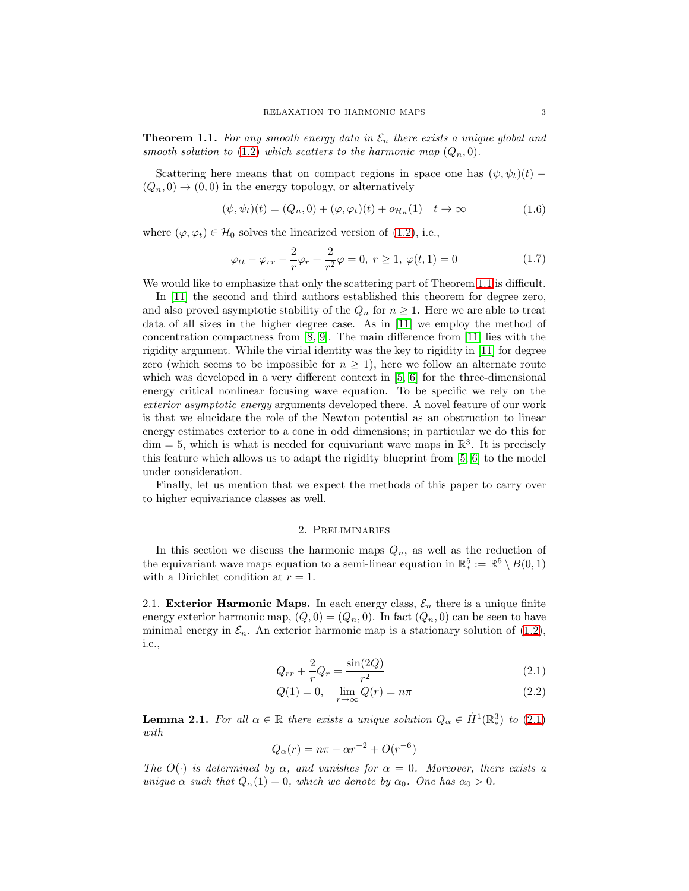<span id="page-2-0"></span>**Theorem 1.1.** For any smooth energy data in  $\mathcal{E}_n$  there exists a unique global and *smooth solution to* [\(1.2\)](#page-0-0) *which scatters to the harmonic map*  $(Q_n, 0)$ *.* 

Scattering here means that on compact regions in space one has  $(\psi, \psi_t)(t)$  –  $(Q_n, 0) \rightarrow (0, 0)$  in the energy topology, or alternatively

$$
(\psi, \psi_t)(t) = (Q_n, 0) + (\varphi, \varphi_t)(t) + o_{\mathcal{H}_n}(1) \quad t \to \infty
$$
\n(1.6)

where  $(\varphi, \varphi_t) \in \mathcal{H}_0$  solves the linearized version of [\(1.2\)](#page-0-0), i.e.,

$$
\varphi_{tt} - \varphi_{rr} - \frac{2}{r}\varphi_r + \frac{2}{r^2}\varphi = 0, r \ge 1, \varphi(t, 1) = 0
$$
\n(1.7)

We would like to emphasize that only the scattering part of Theorem [1.1](#page-2-0) is difficult.

In [\[11\]](#page-31-4) the second and third authors established this theorem for degree zero, and also proved asymptotic stability of the  $Q_n$  for  $n \geq 1$ . Here we are able to treat data of all sizes in the higher degree case. As in [\[11\]](#page-31-4) we employ the method of concentration compactness from  $[8, 9]$  $[8, 9]$ . The main difference from  $[11]$  lies with the rigidity argument. While the virial identity was the key to rigidity in [\[11\]](#page-31-4) for degree zero (which seems to be impossible for  $n \geq 1$ ), here we follow an alternate route which was developed in a very different context in [\[5,](#page-31-7) [6\]](#page-31-8) for the three-dimensional energy critical nonlinear focusing wave equation. To be specific we rely on the *exterior asymptotic energy* arguments developed there. A novel feature of our work is that we elucidate the role of the Newton potential as an obstruction to linear energy estimates exterior to a cone in odd dimensions; in particular we do this for  $\dim = 5$ , which is what is needed for equivariant wave maps in  $\mathbb{R}^3$ . It is precisely this feature which allows us to adapt the rigidity blueprint from [\[5,](#page-31-7) [6\]](#page-31-8) to the model under consideration.

<span id="page-2-4"></span>Finally, let us mention that we expect the methods of this paper to carry over to higher equivariance classes as well.

#### 2. Preliminaries

In this section we discuss the harmonic maps  $Q_n$ , as well as the reduction of the equivariant wave maps equation to a semi-linear equation in  $\mathbb{R}^5_* := \mathbb{R}^5 \setminus B(0, 1)$ with a Dirichlet condition at  $r = 1$ .

2.1. Exterior Harmonic Maps. In each energy class,  $\mathcal{E}_n$  there is a unique finite energy exterior harmonic map,  $(Q, 0) = (Q_n, 0)$ . In fact  $(Q_n, 0)$  can be seen to have minimal energy in  $\mathcal{E}_n$ . An exterior harmonic map is a stationary solution of [\(1.2\)](#page-0-0), i.e.,

<span id="page-2-1"></span>
$$
Q_{rr} + \frac{2}{r}Q_r = \frac{\sin(2Q)}{r^2}
$$
 (2.1)

<span id="page-2-3"></span>
$$
Q(1) = 0, \quad \lim_{r \to \infty} Q(r) = n\pi
$$
\n(2.2)

<span id="page-2-2"></span>**Lemma 2.1.** For all  $\alpha \in \mathbb{R}$  there exists a unique solution  $Q_{\alpha} \in \dot{H}^1(\mathbb{R}^3)$  to [\(2.1\)](#page-2-1) *with*

$$
Q_{\alpha}(r) = n\pi - \alpha r^{-2} + O(r^{-6})
$$

*The*  $O(\cdot)$  *is determined by*  $\alpha$ *, and vanishes for*  $\alpha = 0$ *. Moreover, there exists a unique*  $\alpha$  *such that*  $Q_{\alpha}(1) = 0$ *, which we denote by*  $\alpha_0$ *. One has*  $\alpha_0 > 0$ *.*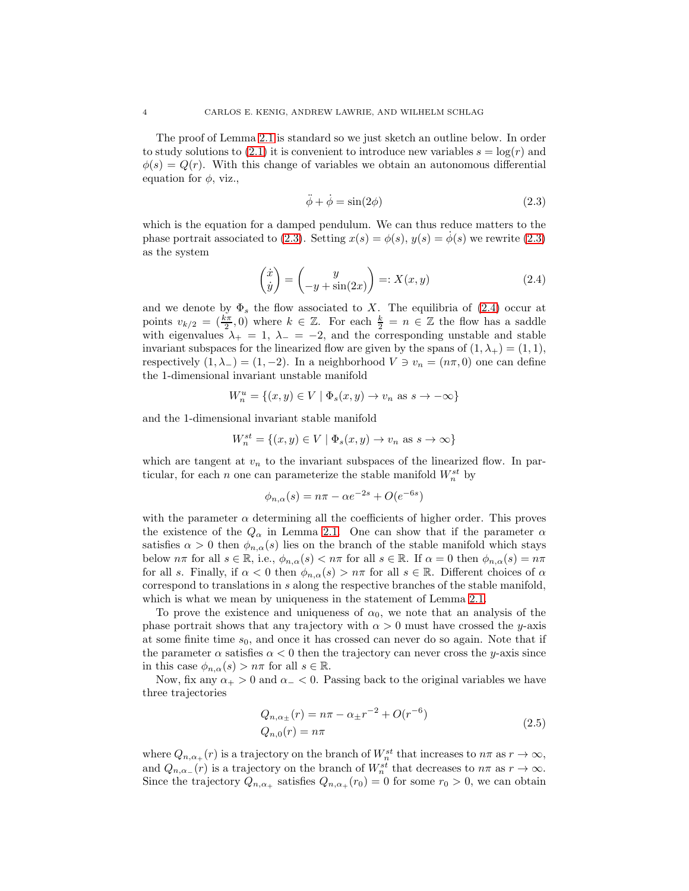The proof of Lemma [2.1](#page-2-2) is standard so we just sketch an outline below. In order to study solutions to [\(2.1\)](#page-2-1) it is convenient to introduce new variables  $s = \log(r)$  and  $\phi(s) = Q(r)$ . With this change of variables we obtain an autonomous differential equation for  $\phi$ , viz.,

$$
\ddot{\phi} + \dot{\phi} = \sin(2\phi) \tag{2.3}
$$

<span id="page-3-0"></span>which is the equation for a damped pendulum. We can thus reduce matters to the phase portrait associated to [\(2.3\)](#page-3-0). Setting  $x(s) = \phi(s)$ ,  $y(s) = \dot{\phi}(s)$  we rewrite (2.3) as the system

$$
\begin{pmatrix} \dot{x} \\ \dot{y} \end{pmatrix} = \begin{pmatrix} y \\ -y + \sin(2x) \end{pmatrix} =: X(x, y) \tag{2.4}
$$

<span id="page-3-1"></span>and we denote by  $\Phi_s$  the flow associated to X. The equilibria of [\(2.4\)](#page-3-1) occur at points  $v_{k/2} = \left(\frac{k\pi}{2}, 0\right)$  where  $k \in \mathbb{Z}$ . For each  $\frac{k}{2} = n \in \mathbb{Z}$  the flow has a saddle with eigenvalues  $\lambda_+ = 1$ ,  $\lambda_- = -2$ , and the corresponding unstable and stable invariant subspaces for the linearized flow are given by the spans of  $(1, \lambda_{+}) = (1, 1)$ , respectively  $(1, \lambda_{-}) = (1, -2)$ . In a neighborhood  $V \ni v_n = (n\pi, 0)$  one can define the 1-dimensional invariant unstable manifold

$$
W_n^u = \{(x, y) \in V \mid \Phi_s(x, y) \to v_n \text{ as } s \to -\infty\}
$$

and the 1-dimensional invariant stable manifold

$$
W_n^{st} = \{(x, y) \in V \mid \Phi_s(x, y) \to v_n \text{ as } s \to \infty\}
$$

which are tangent at  $v_n$  to the invariant subspaces of the linearized flow. In particular, for each n one can parameterize the stable manifold  $W_n^{st}$  by

$$
\phi_{n,\alpha}(s) = n\pi - \alpha e^{-2s} + O(e^{-6s})
$$

with the parameter  $\alpha$  determining all the coefficients of higher order. This proves the existence of the  $Q_{\alpha}$  in Lemma [2.1.](#page-2-2) One can show that if the parameter  $\alpha$ satisfies  $\alpha > 0$  then  $\phi_{n,\alpha}(s)$  lies on the branch of the stable manifold which stays below  $n\pi$  for all  $s \in \mathbb{R}$ , i.e.,  $\phi_{n,\alpha}(s) < n\pi$  for all  $s \in \mathbb{R}$ . If  $\alpha = 0$  then  $\phi_{n,\alpha}(s) = n\pi$ for all s. Finally, if  $\alpha < 0$  then  $\phi_{n,\alpha}(s) > n\pi$  for all  $s \in \mathbb{R}$ . Different choices of  $\alpha$ correspond to translations in s along the respective branches of the stable manifold, which is what we mean by uniqueness in the statement of Lemma [2.1.](#page-2-2)

To prove the existence and uniqueness of  $\alpha_0$ , we note that an analysis of the phase portrait shows that any trajectory with  $\alpha > 0$  must have crossed the y-axis at some finite time  $s_0$ , and once it has crossed can never do so again. Note that if the parameter  $\alpha$  satisfies  $\alpha < 0$  then the trajectory can never cross the y-axis since in this case  $\phi_{n,\alpha}(s) > n\pi$  for all  $s \in \mathbb{R}$ .

Now, fix any  $\alpha_+ > 0$  and  $\alpha_- < 0$ . Passing back to the original variables we have three trajectories

$$
Q_{n,\alpha_{\pm}}(r) = n\pi - \alpha_{\pm}r^{-2} + O(r^{-6})
$$
  
\n
$$
Q_{n,0}(r) = n\pi
$$
\n(2.5)

where  $Q_{n,\alpha_{+}}(r)$  is a trajectory on the branch of  $W_{n}^{st}$  that increases to  $n\pi$  as  $r \to \infty$ , and  $Q_{n,\alpha}(r)$  is a trajectory on the branch of  $W_n^{st}$  that decreases to  $n\pi$  as  $r \to \infty$ . Since the trajectory  $Q_{n,\alpha_{+}}$  satisfies  $Q_{n,\alpha_{+}}(r_{0})=0$  for some  $r_{0}>0$ , we can obtain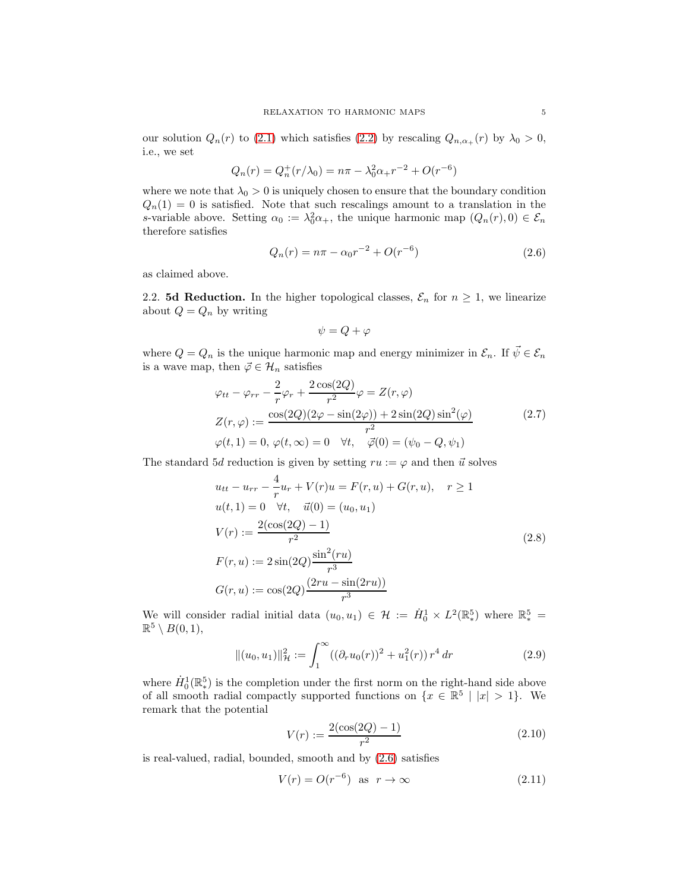our solution  $Q_n(r)$  to [\(2.1\)](#page-2-1) which satisfies [\(2.2\)](#page-2-3) by rescaling  $Q_{n,\alpha_{+}}(r)$  by  $\lambda_0 > 0$ , i.e., we set

$$
Q_n(r) = Q_n^+(r/\lambda_0) = n\pi - \lambda_0^2 \alpha_+ r^{-2} + O(r^{-6})
$$

where we note that  $\lambda_0 > 0$  is uniquely chosen to ensure that the boundary condition  $Q_n(1) = 0$  is satisfied. Note that such rescalings amount to a translation in the s-variable above. Setting  $\alpha_0 := \lambda_0^2 \alpha_+$ , the unique harmonic map  $(Q_n(r), 0) \in \mathcal{E}_n$ therefore satisfies

$$
Q_n(r) = n\pi - \alpha_0 r^{-2} + O(r^{-6})
$$
\n(2.6)

<span id="page-4-0"></span>as claimed above.

2.2. **5d Reduction.** In the higher topological classes,  $\mathcal{E}_n$  for  $n \geq 1$ , we linearize about  $Q = Q_n$  by writing

$$
\psi = Q + \varphi
$$

where  $Q = Q_n$  is the unique harmonic map and energy minimizer in  $\mathcal{E}_n.$  If  $\vec{\psi} \in \mathcal{E}_n$ is a wave map, then  $\vec{\varphi} \in \mathcal{H}_n$  satisfies

$$
\varphi_{tt} - \varphi_{rr} - \frac{2}{r} \varphi_r + \frac{2 \cos(2Q)}{r^2} \varphi = Z(r, \varphi)
$$
  
\n
$$
Z(r, \varphi) := \frac{\cos(2Q)(2\varphi - \sin(2\varphi)) + 2 \sin(2Q) \sin^2(\varphi)}{r^2}
$$
  
\n
$$
\varphi(t, 1) = 0, \varphi(t, \infty) = 0 \quad \forall t, \quad \vec{\varphi}(0) = (\psi_0 - Q, \psi_1)
$$
\n(2.7)

The standard 5d reduction is given by setting  $ru := \varphi$  and then  $\vec{u}$  solves

$$
u_{tt} - u_{rr} - \frac{4}{r}u_r + V(r)u = F(r, u) + G(r, u), \quad r \ge 1
$$
  
\n
$$
u(t, 1) = 0 \quad \forall t, \quad \vec{u}(0) = (u_0, u_1)
$$
  
\n
$$
V(r) := \frac{2(\cos(2Q) - 1)}{r^2}
$$
  
\n
$$
F(r, u) := 2\sin(2Q)\frac{\sin^2(ru)}{r^3}
$$
  
\n
$$
G(r, u) := \cos(2Q)\frac{(2ru - \sin(2ru))}{r^3}
$$
\n(2.8)

<span id="page-4-1"></span>We will consider radial initial data  $(u_0, u_1) \in \mathcal{H} := \dot{H}_0^1 \times L^2(\mathbb{R}^5)$  where  $\mathbb{R}^5_* =$  $\mathbb{R}^5 \setminus B(0,1),$ 

$$
\|(u_0, u_1)\|_{\mathcal{H}}^2 := \int_1^{\infty} ((\partial_r u_0(r))^2 + u_1^2(r)) r^4 dr \tag{2.9}
$$

where  $\dot{H}_0^1(\mathbb{R}^5)$  is the completion under the first norm on the right-hand side above of all smooth radial compactly supported functions on  $\{x \in \mathbb{R}^5 \mid |x| > 1\}$ . We remark that the potential

$$
V(r) := \frac{2(\cos(2Q) - 1)}{r^2} \tag{2.10}
$$

<span id="page-4-3"></span><span id="page-4-2"></span>is real-valued, radial, bounded, smooth and by [\(2.6\)](#page-4-0) satisfies

$$
V(r) = O(r^{-6}) \quad \text{as} \quad r \to \infty \tag{2.11}
$$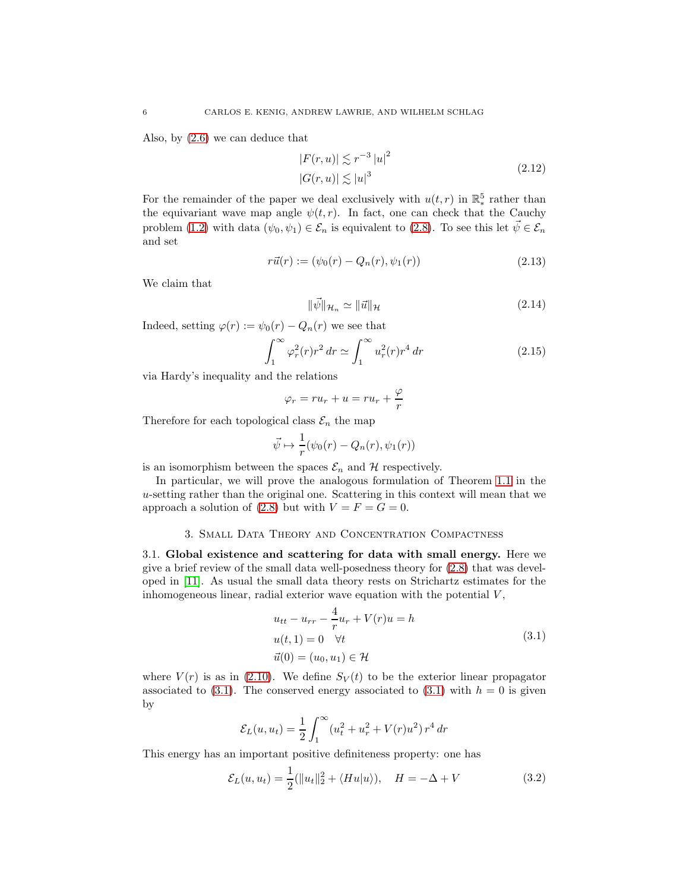<span id="page-5-1"></span>Also, by [\(2.6\)](#page-4-0) we can deduce that

$$
|F(r, u)| \lesssim r^{-3} |u|^2
$$
  

$$
|G(r, u)| \lesssim |u|^3
$$
 (2.12)

For the remainder of the paper we deal exclusively with  $u(t,r)$  in  $\mathbb{R}^5_*$  rather than the equivariant wave map angle  $\psi(t, r)$ . In fact, one can check that the Cauchy problem [\(1.2\)](#page-0-0) with data  $(\psi_0, \psi_1) \in \mathcal{E}_n$  is equivalent to [\(2.8\)](#page-4-1). To see this let  $\vec{\psi} \in \mathcal{E}_n$ and set

$$
r\vec{u}(r) := (\psi_0(r) - Q_n(r), \psi_1(r))
$$
\n(2.13)

We claim that

$$
\|\vec{\psi}\|_{\mathcal{H}_n} \simeq \|\vec{u}\|_{\mathcal{H}} \tag{2.14}
$$

Indeed, setting  $\varphi(r) := \psi_0(r) - Q_n(r)$  we see that

$$
\int_{1}^{\infty} \varphi_r^2(r) r^2 \, dr \simeq \int_{1}^{\infty} u_r^2(r) r^4 \, dr \tag{2.15}
$$

via Hardy's inequality and the relations

$$
\varphi_r = ru_r + u = ru_r + \frac{\varphi}{r}
$$

Therefore for each topological class  $\mathcal{E}_n$  the map

$$
\vec{\psi} \mapsto \frac{1}{r}(\psi_0(r) - Q_n(r), \psi_1(r))
$$

is an isomorphism between the spaces  $\mathcal{E}_n$  and H respectively.

In particular, we will prove the analogous formulation of Theorem [1.1](#page-2-0) in the u-setting rather than the original one. Scattering in this context will mean that we approach a solution of [\(2.8\)](#page-4-1) but with  $V = F = G = 0$ .

### 3. Small Data Theory and Concentration Compactness

<span id="page-5-2"></span>3.1. Global existence and scattering for data with small energy. Here we give a brief review of the small data well-posedness theory for [\(2.8\)](#page-4-1) that was developed in [\[11\]](#page-31-4). As usual the small data theory rests on Strichartz estimates for the inhomogeneous linear, radial exterior wave equation with the potential  $V$ ,

$$
u_{tt} - u_{rr} - \frac{4}{r}u_r + V(r)u = h
$$
  
\n
$$
u(t, 1) = 0 \quad \forall t
$$
  
\n
$$
\vec{u}(0) = (u_0, u_1) \in \mathcal{H}
$$
\n(3.1)

<span id="page-5-0"></span>where  $V(r)$  is as in [\(2.10\)](#page-4-2). We define  $S_V(t)$  to be the exterior linear propagator associated to [\(3.1\)](#page-5-0). The conserved energy associated to (3.1) with  $h = 0$  is given by

$$
\mathcal{E}_L(u, u_t) = \frac{1}{2} \int_1^{\infty} (u_t^2 + u_r^2 + V(r)u^2) r^4 dr
$$

This energy has an important positive definiteness property: one has

$$
\mathcal{E}_L(u, u_t) = \frac{1}{2} (||u_t||_2^2 + \langle Hu|u\rangle), \quad H = -\Delta + V \tag{3.2}
$$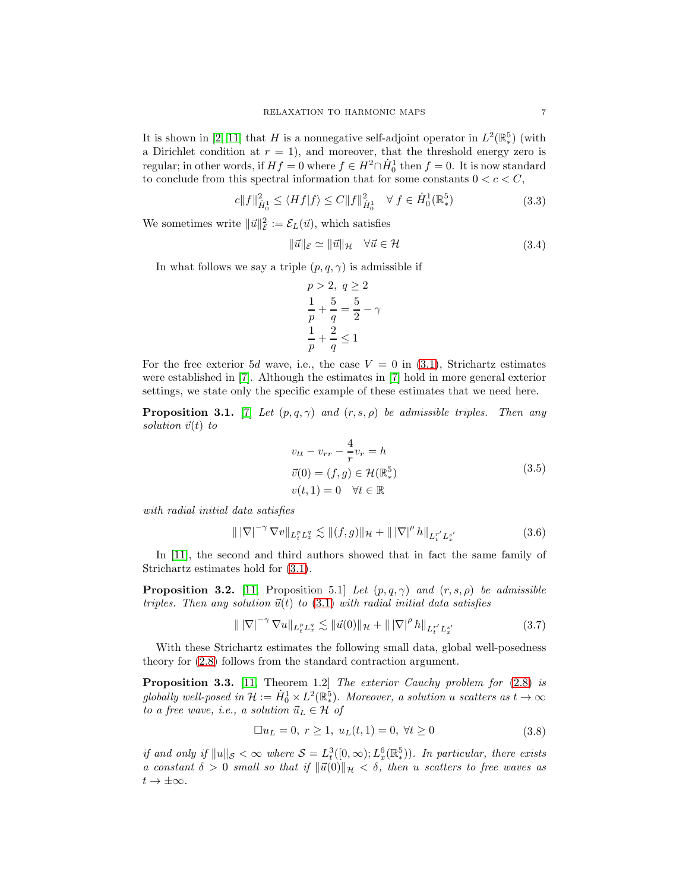It is shown in [\[2,](#page-31-2) [11\]](#page-31-4) that H is a nonnegative self-adjoint operator in  $L^2(\mathbb{R}^5)$  (with a Dirichlet condition at  $r = 1$ , and moreover, that the threshold energy zero is regular; in other words, if  $Hf = 0$  where  $f \in H^2 \cap \dot{H}^1_0$  then  $f = 0$ . It is now standard to conclude from this spectral information that for some constants  $0 < c < C$ ,

$$
c||f||_{\dot{H}_0^1}^2 \le \langle Hf|f\rangle \le C||f||_{\dot{H}_0^1}^2 \quad \forall \ f \in \dot{H}_0^1(\mathbb{R}^5_*)
$$
\n(3.3)

<span id="page-6-2"></span>We sometimes write  $\|\vec{u}\|^2_{\mathcal{E}} := \mathcal{E}_L(\vec{u})$ , which satisfies

$$
\|\vec{u}\|_{\mathcal{E}} \simeq \|\vec{u}\|_{\mathcal{H}} \quad \forall \vec{u} \in \mathcal{H}
$$
\n(3.4)

In what follows we say a triple  $(p, q, \gamma)$  is admissible if

$$
p > 2, q \ge 2
$$
  

$$
\frac{1}{p} + \frac{5}{q} = \frac{5}{2} - \gamma
$$
  

$$
\frac{1}{p} + \frac{2}{q} \le 1
$$

For the free exterior 5d wave, i.e., the case  $V = 0$  in [\(3.1\)](#page-5-0), Strichartz estimates were established in [\[7\]](#page-31-9). Although the estimates in [\[7\]](#page-31-9) hold in more general exterior settings, we state only the specific example of these estimates that we need here.

<span id="page-6-3"></span>**Proposition 3.1.** [\[7\]](#page-31-9) *Let*  $(p, q, \gamma)$  *and*  $(r, s, \rho)$  *be admissible triples. Then any solution*  $\vec{v}(t)$  *to* 

$$
v_{tt} - v_{rr} - \frac{4}{r}v_r = h
$$
  
\n
$$
\vec{v}(0) = (f, g) \in \mathcal{H}(\mathbb{R}^5)
$$
  
\n
$$
v(t, 1) = 0 \quad \forall t \in \mathbb{R}
$$
\n(3.5)

*with radial initial data satisfies*

$$
\| |\nabla|^{-\gamma} \nabla v \|_{L_t^p L_x^q} \lesssim \| (f, g) \|_{\mathcal{H}} + \| |\nabla|^{\rho} h \|_{L_t^{r'} L_x^{s'}} \tag{3.6}
$$

In [\[11\]](#page-31-4), the second and third authors showed that in fact the same family of Strichartz estimates hold for [\(3.1\)](#page-5-0).

<span id="page-6-1"></span>**Proposition 3.2.** [\[11,](#page-31-4) Proposition 5.1] *Let*  $(p, q, \gamma)$  *and*  $(r, s, \rho)$  *be admissible*  $triples.$  Then any solution  $\vec{u}(t)$  to  $(3.1)$  with radial initial data satisfies

$$
\| |\nabla|^{-\gamma} \nabla u \|_{L_t^p L_x^q} \lesssim \| \vec{u}(0) \|_{\mathcal{H}} + \| |\nabla|^\rho \, h \|_{L_t^{r'} L_x^{s'}} \tag{3.7}
$$

With these Strichartz estimates the following small data, global well-posedness theory for [\(2.8\)](#page-4-1) follows from the standard contraction argument.

<span id="page-6-0"></span>Proposition 3.3. [\[11,](#page-31-4) Theorem 1.2] *The exterior Cauchy problem for* [\(2.8\)](#page-4-1) *is* globally well-posed in  $\mathcal{H} := \dot{H}_0^1 \times L^2(\mathbb{R}^5)$ . Moreover, a solution *u* scatters as  $t \to \infty$ *to a free wave, i.e., a solution*  $\vec{u}_L \in \mathcal{H}$  *of* 

$$
\Box u_L = 0, r \ge 1, u_L(t, 1) = 0, \forall t \ge 0
$$
\n(3.8)

*if and only if*  $||u||_{\mathcal{S}} < \infty$  where  $\mathcal{S} = L_t^3([0,\infty); L_x^6(\mathbb{R}^5))$ . In particular, there exists *a constant*  $\delta > 0$  *small so that if*  $\|\vec{u}(0)\|_{\mathcal{H}} < \delta$ , then u *scatters to free waves as*  $t \to \pm \infty$ *.*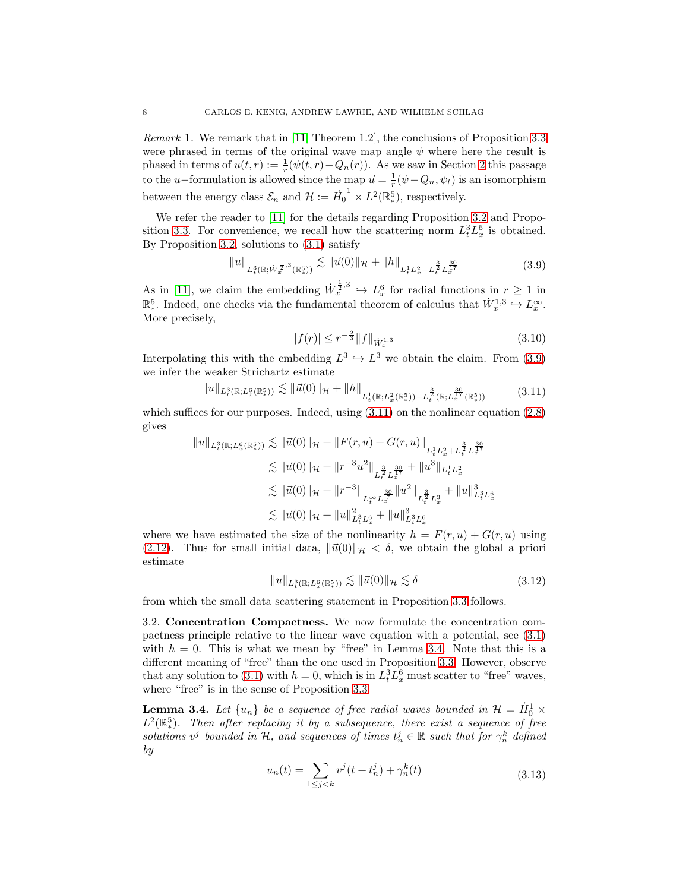*Remark* 1*.* We remark that in [\[11,](#page-31-4) Theorem 1.2], the conclusions of Proposition [3.3](#page-6-0) were phrased in terms of the original wave map angle  $\psi$  where here the result is phased in terms of  $u(t,r) := \frac{1}{r}(\psi(t,r) - Q_n(r))$ . As we saw in Section [2](#page-2-4) this passage to the u–formulation is allowed since the map  $\vec{u} = \frac{1}{r}(\psi - Q_n, \psi_t)$  is an isomorphism between the energy class  $\mathcal{E}_n$  and  $\mathcal{H} := \dot{H}_0$  $1 \times L^2(\mathbb{R}^5)$ , respectively.

We refer the reader to [\[11\]](#page-31-4) for the details regarding Proposition [3.2](#page-6-1) and Propo-sition [3.3.](#page-6-0) For convenience, we recall how the scattering norm  $L_t^3 L_x^6$  is obtained. By Proposition [3.2,](#page-6-1) solutions to [\(3.1\)](#page-5-0) satisfy

$$
||u||_{L^{3}_{t}(\mathbb{R};\dot{W}^{\frac{1}{2},3}_{x}(\mathbb{R}^{5}_{*}))} \lesssim ||\vec{u}(0)||_{\mathcal{H}} + ||h||_{L^{1}_{t}L^{2}_{x} + L^{\frac{3}{2}}_{t}L^{\frac{30}{17}}_{x}}
$$
(3.9)

<span id="page-7-0"></span>As in [\[11\]](#page-31-4), we claim the embedding  $\dot{W}_x^{\frac{1}{2},3} \hookrightarrow L_x^6$  for radial functions in  $r \ge 1$  in  $\mathbb{R}^5_*$ . Indeed, one checks via the fundamental theorem of calculus that  $\dot{W}_x^{1,3} \hookrightarrow L_x^{\infty}$ . More precisely,

$$
|f(r)| \le r^{-\frac{2}{3}} \|f\|_{\dot{W}_x^{1,3}} \tag{3.10}
$$

Interpolating this with the embedding  $L^3 \hookrightarrow L^3$  we obtain the claim. From [\(3.9\)](#page-7-0) we infer the weaker Strichartz estimate

$$
||u||_{L^{3}_{t}(\mathbb{R};L^{6}_{x}(\mathbb{R}^{5}_{*}))} \lesssim ||\vec{u}(0)||_{\mathcal{H}} + ||h||_{L^{1}_{t}(\mathbb{R};L^{2}_{x}(\mathbb{R}^{5}_{*})) + L^{\frac{3}{2}}_{t}(\mathbb{R};L^{\frac{30}{2}}_{x}(\mathbb{R}^{5}_{*}))}
$$
(3.11)

<span id="page-7-1"></span>which suffices for our purposes. Indeed, using  $(3.11)$  on the nonlinear equation  $(2.8)$ gives

$$
||u||_{L_t^3(\mathbb{R};L_x^6(\mathbb{R}^5))} \lesssim ||\vec{u}(0)||_{\mathcal{H}} + ||F(r,u) + G(r,u)||_{L_t^1 L_x^2 + L_t^{\frac{3}{2}} L_x^{\frac{30}{17}}}
$$
  
\n
$$
\lesssim ||\vec{u}(0)||_{\mathcal{H}} + ||r^{-3}u^2||_{L_t^{\frac{3}{2}} L_x^{\frac{30}{17}}} + ||u^3||_{L_t^1 L_x^2}
$$
  
\n
$$
\lesssim ||\vec{u}(0)||_{\mathcal{H}} + ||r^{-3}||_{L_t^\infty L_x^{\frac{30}{7}}} ||u^2||_{L_t^{\frac{3}{2}} L_x^3} + ||u||_{L_t^3 L_x^6}^3
$$
  
\n
$$
\lesssim ||\vec{u}(0)||_{\mathcal{H}} + ||u||_{L_t^3 L_x^6}^2 + ||u||_{L_t^3 L_x^6}^3
$$

where we have estimated the size of the nonlinearity  $h = F(r, u) + G(r, u)$  using [\(2.12\)](#page-5-1). Thus for small initial data,  $\|\vec{u}(0)\|_{\mathcal{H}} < \delta$ , we obtain the global a priori estimate

$$
||u||_{L_t^3(\mathbb{R};L_x^6(\mathbb{R}^5))} \lesssim ||\vec{u}(0)||_{\mathcal{H}} \lesssim \delta \tag{3.12}
$$

from which the small data scattering statement in Proposition [3.3](#page-6-0) follows.

3.2. Concentration Compactness. We now formulate the concentration compactness principle relative to the linear wave equation with a potential, see [\(3.1\)](#page-5-0) with  $h = 0$ . This is what we mean by "free" in Lemma [3.4.](#page-7-2) Note that this is a different meaning of "free" than the one used in Proposition [3.3.](#page-6-0) However, observe that any solution to [\(3.1\)](#page-5-0) with  $h = 0$ , which is in  $L_t^3 L_x^6$  must scatter to "free" waves, where "free" is in the sense of Proposition [3.3.](#page-6-0)

<span id="page-7-3"></span><span id="page-7-2"></span>**Lemma 3.4.** Let  $\{u_n\}$  be a sequence of free radial waves bounded in  $\mathcal{H} = \dot{H}_0^1 \times$  $L^2(\mathbb{R}^5_*)$ . Then after replacing it by a subsequence, there exist a sequence of free *solutions*  $v^j$  *bounded in* H, and *sequences of times*  $t^j_n \in \mathbb{R}$  *such that for*  $\gamma^k_n$  *defined by*

$$
u_n(t) = \sum_{1 \le j < k} v^j(t + t_n^j) + \gamma_n^k(t) \tag{3.13}
$$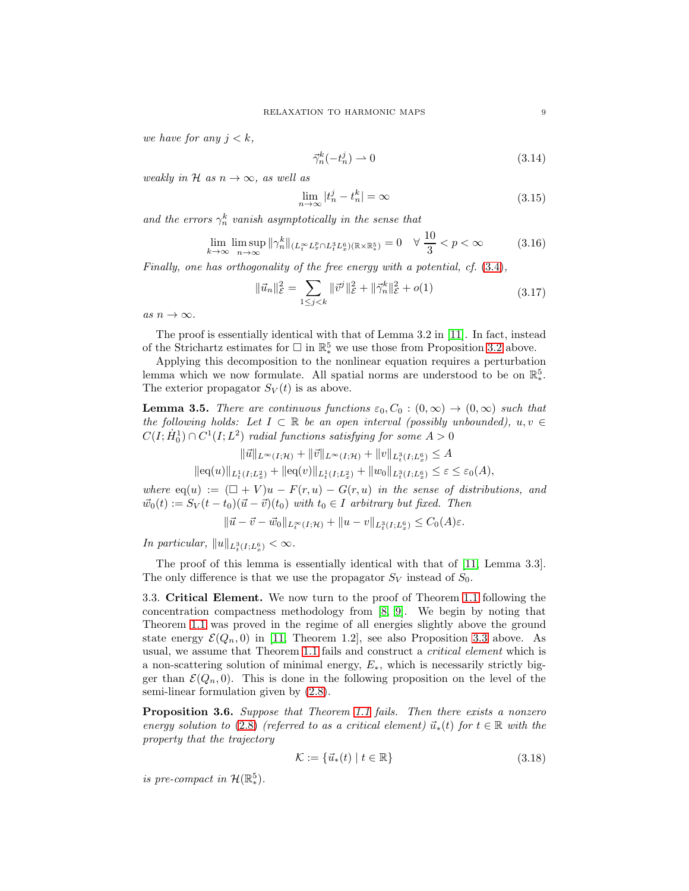<span id="page-8-1"></span>*we have for any*  $j < k$ ,

$$
\vec{\gamma}_n^k(-t_n^j) \rightharpoonup 0 \tag{3.14}
$$

<span id="page-8-0"></span>*weakly in*  $H$  *as*  $n \to \infty$ *, as well as* 

$$
\lim_{n \to \infty} |t_n^j - t_n^k| = \infty \tag{3.15}
$$

and the errors  $\gamma_n^k$  vanish asymptotically in the sense that

$$
\lim_{k \to \infty} \limsup_{n \to \infty} \|\gamma_n^k\|_{(L_t^\infty L_x^p \cap L_t^3 L_x^6)(\mathbb{R} \times \mathbb{R}_*^5)} = 0 \quad \forall \ \frac{10}{3} < p < \infty \tag{3.16}
$$

*Finally, one has orthogonality of the free energy with a potential, cf.* [\(3.4\)](#page-6-2)*,*

$$
\|\vec{u}_n\|_{\mathcal{E}}^2 = \sum_{1 \le j < k} \|\vec{v}^j\|_{\mathcal{E}}^2 + \|\vec{\gamma}_n^k\|_{\mathcal{E}}^2 + o(1) \tag{3.17}
$$

<span id="page-8-3"></span> $as n \to \infty$ .

The proof is essentially identical with that of Lemma 3.2 in [\[11\]](#page-31-4). In fact, instead of the Strichartz estimates for  $\Box$  in  $\mathbb{R}^5_*$  we use those from Proposition [3.2](#page-6-1) above.

Applying this decomposition to the nonlinear equation requires a perturbation lemma which we now formulate. All spatial norms are understood to be on  $\mathbb{R}^5_*$ . The exterior propagator  $S_V(t)$  is as above.

<span id="page-8-2"></span>**Lemma 3.5.** *There are continuous functions*  $\varepsilon_0$ ,  $C_0$  :  $(0,\infty) \rightarrow (0,\infty)$  *such that the following holds:* Let  $I \subset \mathbb{R}$  *be an open interval (possibly unbounded)*,  $u, v \in$  $C(I; \dot{H}^1_0) \cap C^1(I; L^2)$  *radial functions satisfying for some*  $A > 0$ 

$$
\|\vec{u}\|_{L^{\infty}(I;\mathcal{H})} + \|\vec{v}\|_{L^{\infty}(I;\mathcal{H})} + \|v\|_{L^{3}_{t}(I;L^{6}_{x})} \leq A
$$
  

$$
\|\text{eq}(u)\|_{L^{1}_{t}(I;L^{2}_{x})} + \|\text{eq}(v)\|_{L^{1}_{t}(I;L^{2}_{x})} + \|w_{0}\|_{L^{3}_{t}(I;L^{6}_{x})} \leq \varepsilon \leq \varepsilon_{0}(A),
$$

*where*  $eq(u) := (\Box + V)u - F(r, u) - G(r, u)$  *in the sense of distributions, and*  $\vec{w}_0(t) := S_V(t - t_0)(\vec{u} - \vec{v})(t_0)$  *with*  $t_0 \in I$  *arbitrary but fixed. Then* 

$$
\|\vec{u} - \vec{v} - \vec{w}_0\|_{L_t^{\infty}(I; \mathcal{H})} + \|u - v\|_{L_t^3(I; L_x^6)} \le C_0(A)\varepsilon.
$$

*In particular,*  $||u||_{L_t^3(I;L_x^6)} < \infty$ .

The proof of this lemma is essentially identical with that of [\[11,](#page-31-4) Lemma 3.3]. The only difference is that we use the propagator  $S_V$  instead of  $S_0$ .

3.3. Critical Element. We now turn to the proof of Theorem [1.1](#page-2-0) following the concentration compactness methodology from [\[8,](#page-31-5) [9\]](#page-31-6). We begin by noting that Theorem [1.1](#page-2-0) was proved in the regime of all energies slightly above the ground state energy  $\mathcal{E}(Q_n, 0)$  in [\[11,](#page-31-4) Theorem 1.2], see also Proposition [3.3](#page-6-0) above. As usual, we assume that Theorem [1.1](#page-2-0) fails and construct a *critical element* which is a non-scattering solution of minimal energy,  $E_{\ast}$ , which is necessarily strictly bigger than  $\mathcal{E}(Q_n, 0)$ . This is done in the following proposition on the level of the semi-linear formulation given by [\(2.8\)](#page-4-1).

<span id="page-8-5"></span>Proposition 3.6. *Suppose that Theorem [1.1](#page-2-0) fails. Then there exists a nonzero energy solution to* [\(2.8\)](#page-4-1) *(referred to as a critical element)*  $\vec{u}_*(t)$  *for*  $t \in \mathbb{R}$  *with the property that the trajectory*

$$
\mathcal{K} := \{ \vec{u}_*(t) \mid t \in \mathbb{R} \}
$$
\n
$$
(3.18)
$$

<span id="page-8-4"></span>*is pre-compact in*  $\mathcal{H}(\mathbb{R}^5)$ *.*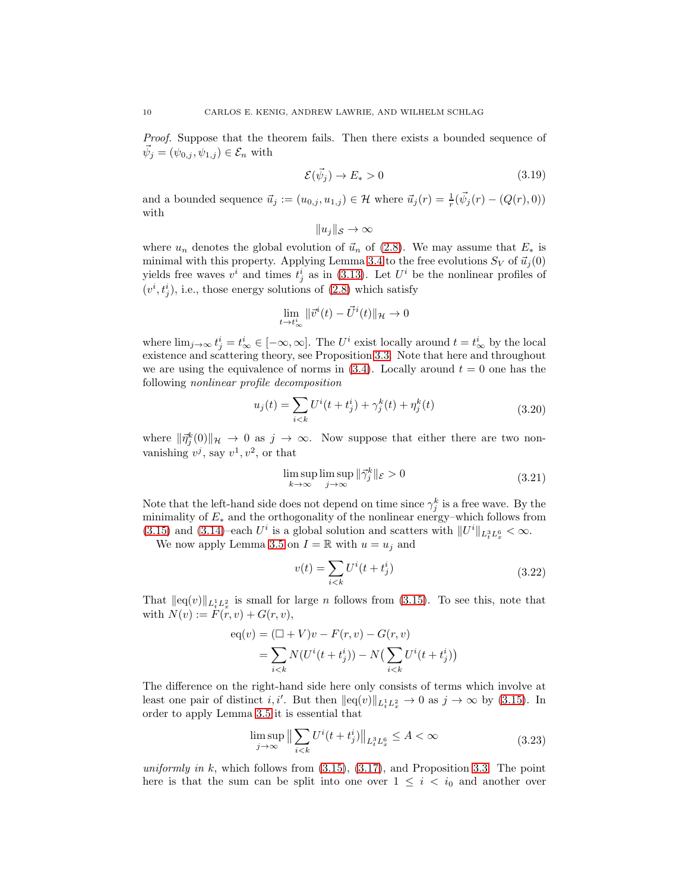*Proof.* Suppose that the theorem fails. Then there exists a bounded sequence of  $\vec{\psi}_j = (\psi_{0,j}, \psi_{1,j}) \in \mathcal{E}_n$  with

$$
\mathcal{E}(\vec{\psi}_j) \to E_* > 0 \tag{3.19}
$$

and a bounded sequence  $\vec{u}_j := (u_{0,j}, u_{1,j}) \in \mathcal{H}$  where  $\vec{u}_j(r) = \frac{1}{r}(\vec{\psi}_j(r) - (Q(r), 0))$ with

$$
||u_j||_{\mathcal{S}} \to \infty
$$

where  $u_n$  denotes the global evolution of  $\vec{u}_n$  of [\(2.8\)](#page-4-1). We may assume that  $E_*$  is minimal with this property. Applying Lemma [3.4](#page-7-2) to the free evolutions  $S_V$  of  $\vec{u}_j(0)$ yields free waves  $v^i$  and times  $t^i_j$  as in [\(3.13\)](#page-7-3). Let  $U^i$  be the nonlinear profiles of  $(v^i, t^i_j)$ , i.e., those energy solutions of  $(2.8)$  which satisfy

$$
\lim_{t \to t_{\infty}^{i}} \|\vec{v}^{i}(t) - \vec{U}^{i}(t)\|_{\mathcal{H}} \to 0
$$

where  $\lim_{j\to\infty} t_j^i = t_\infty^i \in [-\infty, \infty]$ . The  $U^i$  exist locally around  $t = t_\infty^i$  by the local existence and scattering theory, see Proposition [3.3.](#page-6-0) Note that here and throughout we are using the equivalence of norms in  $(3.4)$ . Locally around  $t = 0$  one has the following *nonlinear profile decomposition*

$$
u_j(t) = \sum_{i < k} U^i(t + t_j^i) + \gamma_j^k(t) + \eta_j^k(t) \tag{3.20}
$$

<span id="page-9-1"></span>where  $\|\vec{\eta}_j^k(0)\|_{\mathcal{H}} \to 0$  as  $j \to \infty$ . Now suppose that either there are two nonvanishing  $v^j$ , say  $v^1, v^2$ , or that

$$
\limsup_{k \to \infty} \limsup_{j \to \infty} \|\vec{\gamma}_j^k\|_{\mathcal{E}} > 0
$$
\n(3.21)

Note that the left-hand side does not depend on time since  $\gamma_j^k$  is a free wave. By the minimality of  $E_*$  and the orthogonality of the nonlinear energy–which follows from [\(3.15\)](#page-8-0) and [\(3.14\)](#page-8-1)–each  $U^i$  is a global solution and scatters with  $||U^i||_{L_t^3 L_x^6} < \infty$ .

We now apply Lemma [3.5](#page-8-2) on  $I = \mathbb{R}$  with  $u = u_j$  and

$$
v(t) = \sum_{i < k} U^i(t + t_j^i) \tag{3.22}
$$

That  $\|{\rm eq}(v)\|_{L_t^1 L_x^2}$  is small for large *n* follows from [\(3.15\)](#page-8-0). To see this, note that with  $N(v) := F(r, v) + G(r, v),$ 

$$
eq(v) = (\Box + V)v - F(r, v) - G(r, v)
$$
  
= 
$$
\sum_{i < k} N(U^{i}(t + t_{j}^{i})) - N(\sum_{i < k} U^{i}(t + t_{j}^{i}))
$$

The difference on the right-hand side here only consists of terms which involve at least one pair of distinct *i*, *i'*. But then  $||eq(v)||_{L_t^1 L_x^2} \to 0$  as  $j \to \infty$  by [\(3.15\)](#page-8-0). In order to apply Lemma [3.5](#page-8-2) it is essential that

$$
\limsup_{j \to \infty} \left\| \sum_{i < k} U^i(t + t_j^i) \right\|_{L_t^3 L_x^6} \le A < \infty \tag{3.23}
$$

<span id="page-9-0"></span>*uniformly in* k, which follows from [\(3.15\)](#page-8-0), [\(3.17\)](#page-8-3), and Proposition [3.3.](#page-6-0) The point here is that the sum can be split into one over  $1 \leq i \leq i_0$  and another over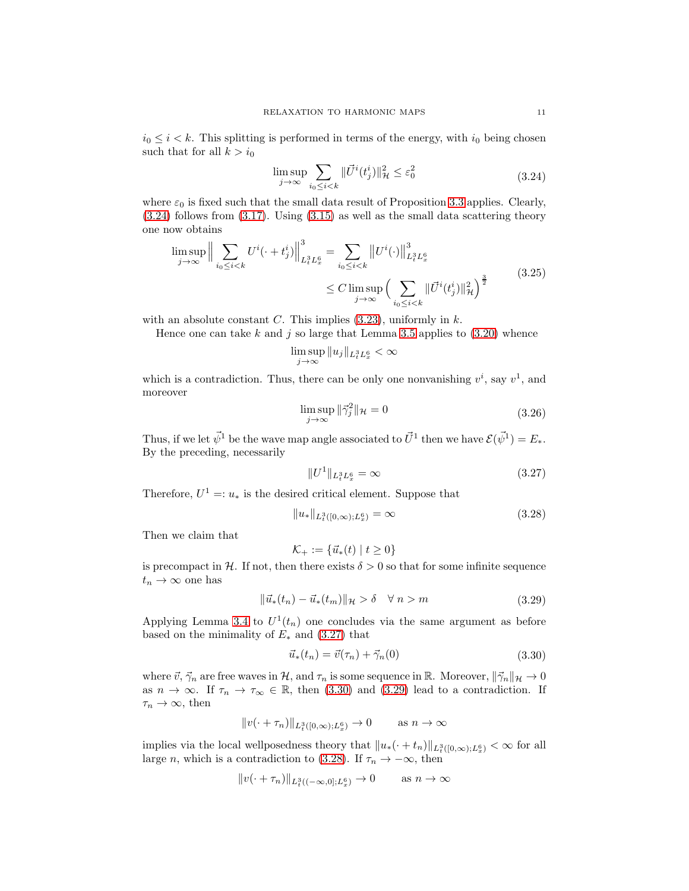$$
\limsup_{j \to \infty} \sum_{i_0 \le i < k} \|\vec{U}^i(t_j^i)\|_{\mathcal{H}}^2 \le \varepsilon_0^2 \tag{3.24}
$$

<span id="page-10-0"></span>where  $\varepsilon_0$  is fixed such that the small data result of Proposition [3.3](#page-6-0) applies. Clearly, [\(3.24\)](#page-10-0) follows from [\(3.17\)](#page-8-3). Using [\(3.15\)](#page-8-0) as well as the small data scattering theory one now obtains

$$
\limsup_{j \to \infty} \Big\| \sum_{i_0 \le i < k} U^i(\cdot + t_j^i) \Big\|_{L_t^3 L_x^6}^3 = \sum_{i_0 \le i < k} \left\| U^i(\cdot) \right\|_{L_t^3 L_x^6}^3
$$
\n
$$
\le C \limsup_{j \to \infty} \Big( \sum_{i_0 \le i < k} \|\overrightarrow{U}^i(t_j^i)\|_{\mathcal{H}}^2 \Big)^{\frac{3}{2}} \tag{3.25}
$$

with an absolute constant  $C$ . This implies  $(3.23)$ , uniformly in  $k$ .

Hence one can take k and j so large that Lemma [3.5](#page-8-2) applies to  $(3.20)$  whence

$$
\limsup_{j\to\infty}\|u_j\|_{L^3_tL^6_x}<\infty
$$

which is a contradiction. Thus, there can be only one nonvanishing  $v^i$ , say  $v^1$ , and moreover

$$
\limsup_{j \to \infty} \|\vec{\gamma}_j^2\|_{\mathcal{H}} = 0 \tag{3.26}
$$

Thus, if we let  $\vec{\psi}^1$  be the wave map angle associated to  $\vec{U}^1$  then we have  $\mathcal{E}(\vec{\psi}^1) = E_*$ . By the preceding, necessarily

$$
||U^1||_{L_t^3 L_x^6} = \infty \tag{3.27}
$$

<span id="page-10-1"></span>Therefore,  $U^1 =: u_*$  is the desired critical element. Suppose that

$$
||u_*||_{L_t^3([0,\infty);L_x^6)} = \infty
$$
\n(3.28)

<span id="page-10-4"></span>Then we claim that

$$
\mathcal{K}_+ := \{ \vec{u}_*(t) \mid t \ge 0 \}
$$

is precompact in H. If not, then there exists  $\delta > 0$  so that for some infinite sequence  $t_n \to \infty$  one has

$$
\|\vec{u}_*(t_n) - \vec{u}_*(t_m)\|_{\mathcal{H}} > \delta \quad \forall \ n > m \tag{3.29}
$$

<span id="page-10-3"></span>Applying Lemma [3.4](#page-7-2) to  $U^1(t_n)$  one concludes via the same argument as before based on the minimality of  $E_*$  and [\(3.27\)](#page-10-1) that

$$
\vec{u}_*(t_n) = \vec{v}(\tau_n) + \vec{\gamma}_n(0) \tag{3.30}
$$

<span id="page-10-2"></span>where  $\vec{v}, \vec{\gamma}_n$  are free waves in H, and  $\tau_n$  is some sequence in R. Moreover,  $\|\vec{\gamma}_n\|_{\mathcal{H}} \to 0$ as  $n \to \infty$ . If  $\tau_n \to \tau_\infty \in \mathbb{R}$ , then [\(3.30\)](#page-10-2) and [\(3.29\)](#page-10-3) lead to a contradiction. If  $\tau_n \to \infty$ , then

$$
||v(\cdot + \tau_n)||_{L^3_t([0,\infty);L^6_x)} \to 0 \quad \text{as } n \to \infty
$$

implies via the local wellposedness theory that  $||u_*(\cdot + t_n)||_{L^3_t([0,\infty);L^6_x)} < \infty$  for all large *n*, which is a contradiction to [\(3.28\)](#page-10-4). If  $\tau_n \to -\infty$ , then

$$
||v(\cdot + \tau_n)||_{L^3_t((-\infty,0];L^6_x)} \to 0 \quad \text{as } n \to \infty
$$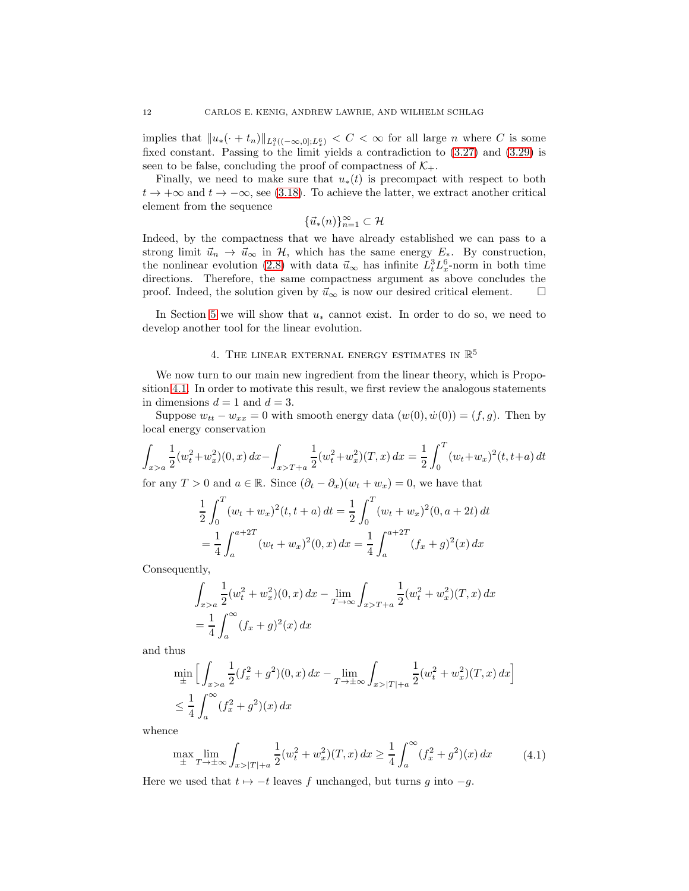implies that  $||u_*(\cdot + t_n)||_{L^3_t((-\infty,0];L^6_x)} < C < \infty$  for all large *n* where *C* is some fixed constant. Passing to the limit yields a contradiction to [\(3.27\)](#page-10-1) and [\(3.29\)](#page-10-3) is seen to be false, concluding the proof of compactness of  $\mathcal{K}_{+}$ .

Finally, we need to make sure that  $u_*(t)$  is precompact with respect to both  $t \to +\infty$  and  $t \to -\infty$ , see [\(3.18\)](#page-8-4). To achieve the latter, we extract another critical element from the sequence

$$
\{\vec{u}_*(n)\}_{n=1}^\infty\subset\mathcal{H}
$$

Indeed, by the compactness that we have already established we can pass to a strong limit  $\vec{u}_n \to \vec{u}_\infty$  in H, which has the same energy  $E_*$ . By construction, the nonlinear evolution [\(2.8\)](#page-4-1) with data  $\vec{u}_{\infty}$  has infinite  $L_t^3 L_x^6$ -norm in both time directions. Therefore, the same compactness argument as above concludes the proof. Indeed, the solution given by  $\vec{u}_{\infty}$  is now our desired critical element.  $\Box$ 

In Section [5](#page-14-0) we will show that  $u_*$  cannot exist. In order to do so, we need to develop another tool for the linear evolution.

# 4. THE LINEAR EXTERNAL ENERGY ESTIMATES IN  $\mathbb{R}^5$

We now turn to our main new ingredient from the linear theory, which is Proposition [4.1.](#page-12-0) In order to motivate this result, we first review the analogous statements in dimensions  $d = 1$  and  $d = 3$ .

Suppose  $w_{tt} - w_{xx} = 0$  with smooth energy data  $(w(0), \dot{w}(0)) = (f, g)$ . Then by local energy conservation

$$
\int_{x>a} \frac{1}{2} (w_t^2 + w_x^2)(0, x) dx - \int_{x>T+a} \frac{1}{2} (w_t^2 + w_x^2)(T, x) dx = \frac{1}{2} \int_0^T (w_t + w_x)^2 (t, t+a) dt
$$

for any  $T > 0$  and  $a \in \mathbb{R}$ . Since  $(\partial_t - \partial_x)(w_t + w_x) = 0$ , we have that

$$
\frac{1}{2} \int_0^T (w_t + w_x)^2 (t, t + a) dt = \frac{1}{2} \int_0^T (w_t + w_x)^2 (0, a + 2t) dt
$$

$$
= \frac{1}{4} \int_a^{a+2T} (w_t + w_x)^2 (0, x) dx = \frac{1}{4} \int_a^{a+2T} (f_x + g)^2 (x) dx
$$

Consequently,

$$
\int_{x>a} \frac{1}{2} (w_t^2 + w_x^2)(0, x) dx - \lim_{T \to \infty} \int_{x>T+a} \frac{1}{2} (w_t^2 + w_x^2)(T, x) dx
$$
  
=  $\frac{1}{4} \int_a^{\infty} (f_x + g)^2(x) dx$ 

and thus

$$
\min_{\pm} \left[ \int_{x>a} \frac{1}{2} (f_x^2 + g^2)(0, x) dx - \lim_{T \to \pm \infty} \int_{x>|T|+a} \frac{1}{2} (w_t^2 + w_x^2)(T, x) dx \right]
$$
  

$$
\leq \frac{1}{4} \int_a^{\infty} (f_x^2 + g^2)(x) dx
$$

<span id="page-11-0"></span>whence

$$
\max_{\pm} \lim_{T \to \pm \infty} \int_{x > |T| + a} \frac{1}{2} (w_t^2 + w_x^2)(T, x) \, dx \ge \frac{1}{4} \int_a^\infty (f_x^2 + g^2)(x) \, dx \tag{4.1}
$$

Here we used that  $t \mapsto -t$  leaves f unchanged, but turns g into  $-g$ .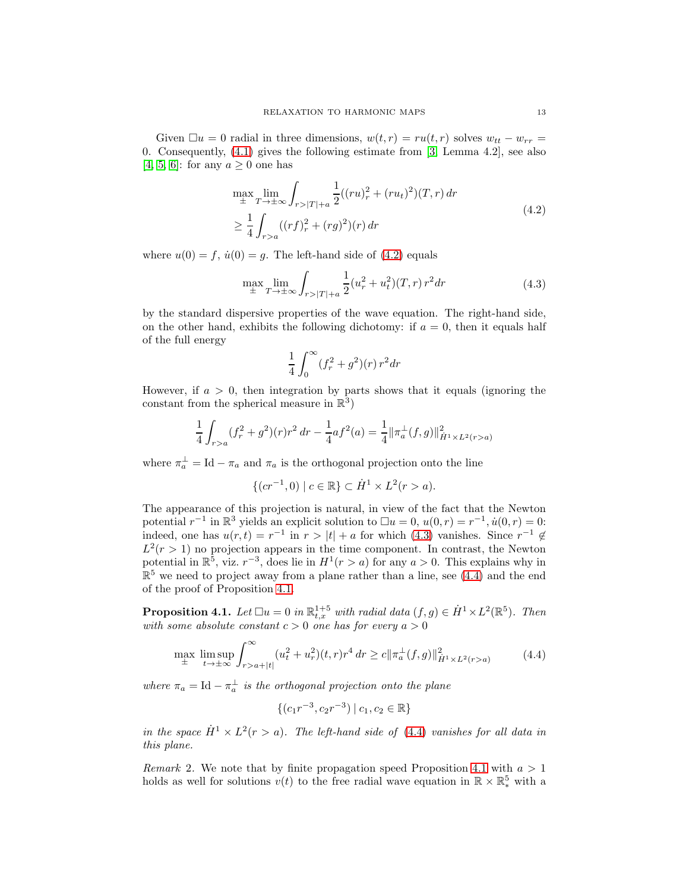Given  $\Box u = 0$  radial in three dimensions,  $w(t, r) = ru(t, r)$  solves  $w_{tt} - w_{rr} =$ 0. Consequently, [\(4.1\)](#page-11-0) gives the following estimate from [\[3,](#page-31-10) Lemma 4.2], see also [\[4,](#page-31-11) [5,](#page-31-7) [6\]](#page-31-8): for any  $a \geq 0$  one has

$$
\max_{\pm} \lim_{T \to \pm \infty} \int_{r > |T| + a} \frac{1}{2} ((ru)_r^2 + (ru_t)^2)(T, r) dr
$$
\n
$$
\geq \frac{1}{4} \int_{r > a} ((rf)_r^2 + (rg)^2)(r) dr
$$
\n(4.2)

<span id="page-12-2"></span><span id="page-12-1"></span>where  $u(0) = f$ ,  $\dot{u}(0) = g$ . The left-hand side of [\(4.2\)](#page-12-1) equals

$$
\max_{\pm} \lim_{T \to \pm \infty} \int_{r > |T| + a} \frac{1}{2} (u_r^2 + u_t^2)(T, r) r^2 dr \tag{4.3}
$$

by the standard dispersive properties of the wave equation. The right-hand side, on the other hand, exhibits the following dichotomy: if  $a = 0$ , then it equals half of the full energy

$$
\frac{1}{4}\int_0^\infty (f_r^2+g^2)(r)\,r^2dr
$$

However, if  $a > 0$ , then integration by parts shows that it equals (ignoring the constant from the spherical measure in  $\mathbb{R}^3$ )

$$
\frac{1}{4} \int_{r>a} (f_r^2 + g^2)(r)r^2 dr - \frac{1}{4} af^2(a) = \frac{1}{4} ||\pi_a^{\perp}(f,g)||^2_{\dot{H}^1 \times L^2(r>a)}
$$

where  $\pi_a^{\perp} = \text{Id} - \pi_a$  and  $\pi_a$  is the orthogonal projection onto the line

$$
\{(cr^{-1},0) \mid c \in \mathbb{R}\} \subset \dot{H}^1 \times L^2(r > a).
$$

The appearance of this projection is natural, in view of the fact that the Newton potential  $r^{-1}$  in  $\mathbb{R}^3$  yields an explicit solution to  $\Box u = 0$ ,  $u(0,r) = r^{-1}$ ,  $\dot{u}(0,r) = 0$ : indeed, one has  $u(r,t) = r^{-1}$  in  $r > |t| + a$  for which [\(4.3\)](#page-12-2) vanishes. Since  $r^{-1} \notin$  $L^2(r > 1)$  no projection appears in the time component. In contrast, the Newton potential in  $\mathbb{R}^5$ , viz.  $r^{-3}$ , does lie in  $H^1(r > a)$  for any  $a > 0$ . This explains why in  $\mathbb{R}^5$  we need to project away from a plane rather than a line, see [\(4.4\)](#page-12-3) and the end of the proof of Proposition [4.1.](#page-12-0)

<span id="page-12-0"></span>**Proposition 4.1.** Let  $\Box u = 0$  in  $\mathbb{R}^{1+5}_{t,x}$  with radial data  $(f, g) \in \dot{H}^1 \times L^2(\mathbb{R}^5)$ . Then *with some absolute constant*  $c > 0$  *one has for every*  $a > 0$ 

$$
\max_{\pm} \limsup_{t \to \pm \infty} \int_{r > a + |t|}^{\infty} (u_t^2 + u_r^2)(t, r) r^4 dr \ge c \| \pi_a^{\perp}(f, g) \|_{\dot{H}^1 \times L^2(r > a)}^2
$$
 (4.4)

<span id="page-12-3"></span>where  $\pi_a = \text{Id} - \pi_a^{\perp}$  is the orthogonal projection onto the plane

$$
\{(c_1r^{-3},c_2r^{-3}) \mid c_1,c_2 \in \mathbb{R}\}\
$$

*in the space*  $\dot{H}^1 \times L^2(r > a)$ . The left-hand side of [\(4.4\)](#page-12-3) *vanishes for all data in this plane.*

*Remark* 2. We note that by finite propagation speed Proposition [4.1](#page-12-0) with  $a > 1$ holds as well for solutions  $v(t)$  to the free radial wave equation in  $\mathbb{R} \times \mathbb{R}^5_*$  with a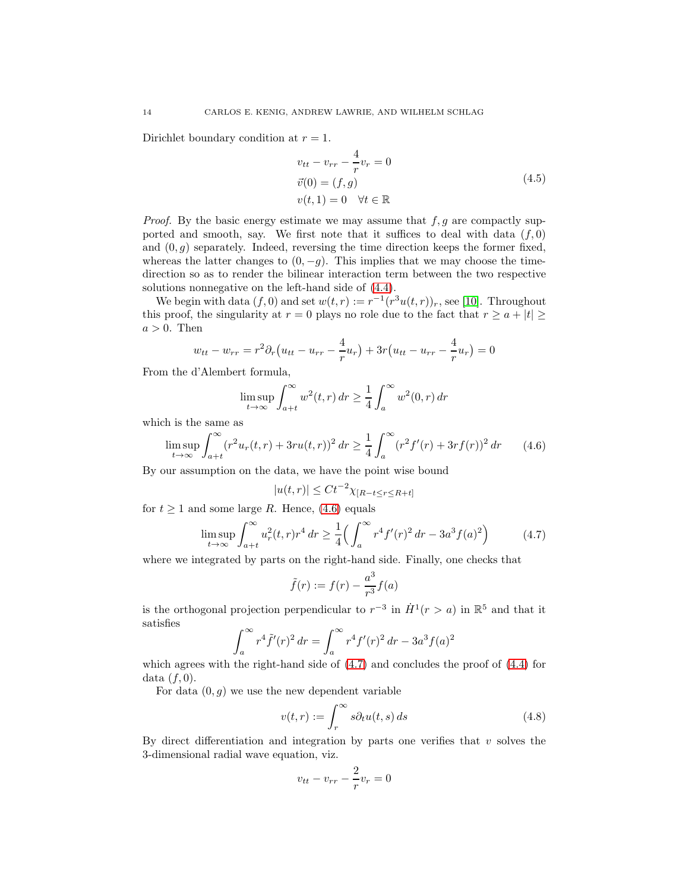<span id="page-13-3"></span>Dirichlet boundary condition at  $r = 1$ .

$$
v_{tt} - v_{rr} - \frac{4}{r}v_r = 0
$$
  
\n
$$
\vec{v}(0) = (f, g)
$$
  
\n
$$
v(t, 1) = 0 \quad \forall t \in \mathbb{R}
$$
\n(4.5)

*Proof.* By the basic energy estimate we may assume that  $f, g$  are compactly supported and smooth, say. We first note that it suffices to deal with data  $(f, 0)$ and  $(0, g)$  separately. Indeed, reversing the time direction keeps the former fixed, whereas the latter changes to  $(0, -q)$ . This implies that we may choose the timedirection so as to render the bilinear interaction term between the two respective solutions nonnegative on the left-hand side of [\(4.4\)](#page-12-3).

We begin with data  $(f, 0)$  and set  $w(t,r) := r^{-1}(r^3u(t,r))_r$ , see [\[10\]](#page-31-12). Throughout this proof, the singularity at  $r = 0$  plays no role due to the fact that  $r \ge a + |t| \ge$  $a > 0$ . Then

$$
w_{tt} - w_{rr} = r^2 \partial_r (u_{tt} - u_{rr} - \frac{4}{r} u_r) + 3r (u_{tt} - u_{rr} - \frac{4}{r} u_r) = 0
$$

From the d'Alembert formula,

$$
\limsup_{t \to \infty} \int_{a+t}^{\infty} w^2(t, r) dr \ge \frac{1}{4} \int_{a}^{\infty} w^2(0, r) dr
$$

which is the same as

<span id="page-13-0"></span>
$$
\limsup_{t \to \infty} \int_{a+t}^{\infty} (r^2 u_r(t, r) + 3ru(t, r))^2 \, dr \ge \frac{1}{4} \int_a^{\infty} (r^2 f'(r) + 3rf(r))^2 \, dr \qquad (4.6)
$$

By our assumption on the data, we have the point wise bound

$$
|u(t,r)| \le Ct^{-2} \chi_{[R-t \le r \le R+t]}
$$

for  $t \geq 1$  and some large R. Hence, [\(4.6\)](#page-13-0) equals

$$
\limsup_{t \to \infty} \int_{a+t}^{\infty} u_r^2(t, r) r^4 \, dr \ge \frac{1}{4} \Big( \int_a^{\infty} r^4 f'(r)^2 \, dr - 3a^3 f(a)^2 \Big) \tag{4.7}
$$

<span id="page-13-1"></span>where we integrated by parts on the right-hand side. Finally, one checks that

$$
\tilde{f}(r) := f(r) - \frac{a^3}{r^3} f(a)
$$

is the orthogonal projection perpendicular to  $r^{-3}$  in  $\dot{H}^1(r > a)$  in  $\mathbb{R}^5$  and that it satisfies

$$
\int_{a}^{\infty} r^4 \tilde{f}'(r)^2 dr = \int_{a}^{\infty} r^4 f'(r)^2 dr - 3a^3 f(a)^2
$$

which agrees with the right-hand side of  $(4.7)$  and concludes the proof of  $(4.4)$  for data  $(f, 0)$ .

For data  $(0, q)$  we use the new dependent variable

$$
v(t,r) := \int_{r}^{\infty} s \partial_t u(t,s) \, ds \tag{4.8}
$$

<span id="page-13-2"></span>By direct differentiation and integration by parts one verifies that  $v$  solves the 3-dimensional radial wave equation, viz.

$$
v_{tt} - v_{rr} - \frac{2}{r}v_r = 0
$$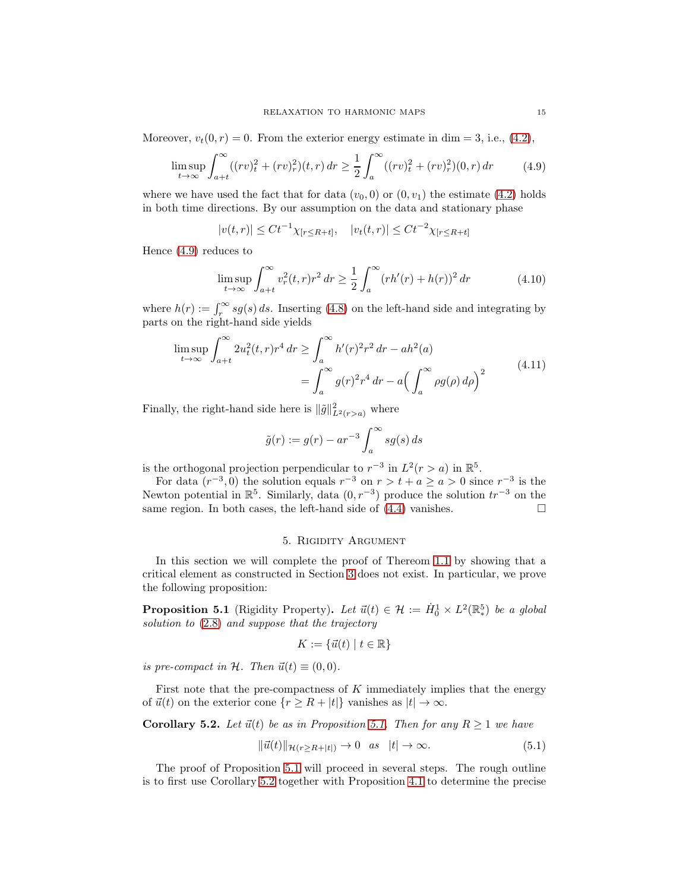<span id="page-14-1"></span>Moreover,  $v_t(0, r) = 0$ . From the exterior energy estimate in dim = 3, i.e., [\(4.2\)](#page-12-1),

$$
\limsup_{t \to \infty} \int_{a+t}^{\infty} ((rv)_t^2 + (rv)_r^2)(t, r) \, dr \ge \frac{1}{2} \int_a^{\infty} ((rv)_t^2 + (rv)_r^2)(0, r) \, dr \tag{4.9}
$$

where we have used the fact that for data  $(v_0, 0)$  or  $(0, v_1)$  the estimate  $(4.2)$  holds in both time directions. By our assumption on the data and stationary phase

$$
|v(t,r)| \le Ct^{-1} \chi_{[r \le R+t]}, \quad |v_t(t,r)| \le Ct^{-2} \chi_{[r \le R+t]}
$$

Hence [\(4.9\)](#page-14-1) reduces to

$$
\limsup_{t \to \infty} \int_{a+t}^{\infty} v_r^2(t, r) r^2 \, dr \ge \frac{1}{2} \int_a^{\infty} (r h'(r) + h(r))^2 \, dr \tag{4.10}
$$

where  $h(r) := \int_r^{\infty} s g(s) ds$ . Inserting [\(4.8\)](#page-13-2) on the left-hand side and integrating by parts on the right-hand side yields

$$
\limsup_{t \to \infty} \int_{a+t}^{\infty} 2u_t^2(t, r)r^4 dr \ge \int_a^{\infty} h'(r)^2 r^2 dr - ah^2(a)
$$
  
= 
$$
\int_a^{\infty} g(r)^2 r^4 dr - a \left( \int_a^{\infty} \rho g(\rho) d\rho \right)^2
$$
 (4.11)

Finally, the right-hand side here is  $\|\tilde{g}\|_{L^2(r>a)}^2$  where

$$
\tilde{g}(r) := g(r) - ar^{-3} \int_a^{\infty} s g(s) \, ds
$$

is the orthogonal projection perpendicular to  $r^{-3}$  in  $L^2(r > a)$  in  $\mathbb{R}^5$ .

For data  $(r^{-3},0)$  the solution equals  $r^{-3}$  on  $r > t + a \ge a > 0$  since  $r^{-3}$  is the Newton potential in  $\mathbb{R}^5$ . Similarly, data  $(0, r^{-3})$  produce the solution  $tr^{-3}$  on the same region. In both cases, the left-hand side of  $(4.4)$  vanishes.

### 5. Rigidity Argument

<span id="page-14-0"></span>In this section we will complete the proof of Thereom [1.1](#page-2-0) by showing that a critical element as constructed in Section [3](#page-5-2) does not exist. In particular, we prove the following proposition:

<span id="page-14-2"></span>**Proposition 5.1** (Rigidity Property). Let  $\vec{u}(t) \in \mathcal{H} := \dot{H}_0^1 \times L^2(\mathbb{R}^5)$  be a global *solution to* [\(2.8\)](#page-4-1) *and suppose that the trajectory*

<span id="page-14-4"></span>
$$
K := \{ \vec{u}(t) \mid t \in \mathbb{R} \}
$$

*is pre-compact in*  $H$ *. Then*  $\vec{u}(t) \equiv (0,0)$ *.* 

First note that the pre-compactness of  $K$  immediately implies that the energy of  $\vec{u}(t)$  on the exterior cone  ${r \geq R + |t|}$  vanishes as  $|t| \to \infty$ .

<span id="page-14-3"></span>**Corollary 5.2.** *Let*  $\vec{u}(t)$  *be as in Proposition* [5.1.](#page-14-2) *Then for any*  $R \geq 1$  *we have* 

$$
\|\vec{u}(t)\|_{\mathcal{H}(r\geq R+|t|)} \to 0 \quad as \quad |t| \to \infty. \tag{5.1}
$$

The proof of Proposition [5.1](#page-14-2) will proceed in several steps. The rough outline is to first use Corollary [5.2](#page-14-3) together with Proposition [4.1](#page-12-0) to determine the precise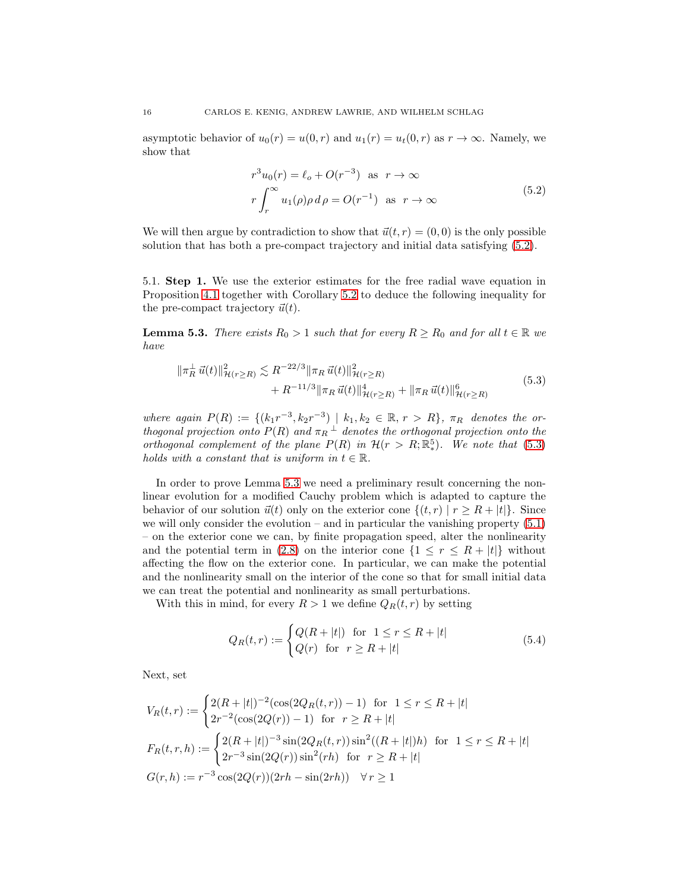asymptotic behavior of  $u_0(r) = u(0, r)$  and  $u_1(r) = u_t(0, r)$  as  $r \to \infty$ . Namely, we show that

$$
r^{3}u_{0}(r) = \ell_{o} + O(r^{-3}) \text{ as } r \to \infty
$$
  

$$
r \int_{r}^{\infty} u_{1}(\rho) \rho d\rho = O(r^{-1}) \text{ as } r \to \infty
$$
 (5.2)

<span id="page-15-0"></span>We will then argue by contradiction to show that  $\vec{u}(t, r) = (0, 0)$  is the only possible solution that has both a pre-compact trajectory and initial data satisfying [\(5.2\)](#page-15-0).

5.1. Step 1. We use the exterior estimates for the free radial wave equation in Proposition [4.1](#page-12-0) together with Corollary [5.2](#page-14-3) to deduce the following inequality for the pre-compact trajectory  $\vec{u}(t)$ .

<span id="page-15-2"></span>**Lemma 5.3.** *There exists*  $R_0 > 1$  *such that for every*  $R \ge R_0$  *and for all*  $t \in \mathbb{R}$  *we have*

<span id="page-15-1"></span>
$$
\|\pi_R^{\perp}\vec{u}(t)\|_{\mathcal{H}(r\geq R)}^2 \lesssim R^{-22/3} \|\pi_R\vec{u}(t)\|_{\mathcal{H}(r\geq R)}^2 + R^{-11/3} \|\pi_R\vec{u}(t)\|_{\mathcal{H}(r\geq R)}^4 + \|\pi_R\vec{u}(t)\|_{\mathcal{H}(r\geq R)}^6 \tag{5.3}
$$

 $where again P(R) := \{(k_1r^{-3}, k_2r^{-3}) | k_1, k_2 \in \mathbb{R}, r > R\}, \pi_R \text{ denotes the or-}$ *thogonal projection onto*  $P(R)$  *and*  $\pi_R$ <sup> $\perp$ </sup> *denotes the orthogonal projection onto the orthogonal complement of the plane*  $P(R)$  *in*  $H(r > R; \mathbb{R}^5)$ *. We note that* [\(5.3\)](#page-15-1) *holds with a constant that is uniform in*  $t \in \mathbb{R}$ *.* 

In order to prove Lemma [5.3](#page-15-2) we need a preliminary result concerning the nonlinear evolution for a modified Cauchy problem which is adapted to capture the behavior of our solution  $\vec{u}(t)$  only on the exterior cone  $\{(t, r) | r \geq R + |t|\}$ . Since we will only consider the evolution – and in particular the vanishing property  $(5.1)$ – on the exterior cone we can, by finite propagation speed, alter the nonlinearity and the potential term in [\(2.8\)](#page-4-1) on the interior cone  $\{1 \le r \le R + |t|\}$  without affecting the flow on the exterior cone. In particular, we can make the potential and the nonlinearity small on the interior of the cone so that for small initial data we can treat the potential and nonlinearity as small perturbations.

With this in mind, for every  $R > 1$  we define  $Q_R(t, r)$  by setting

$$
Q_R(t,r) := \begin{cases} Q(R+|t|) & \text{for } 1 \le r \le R+|t| \\ Q(r) & \text{for } r \ge R+|t| \end{cases} \tag{5.4}
$$

Next, set

$$
V_R(t,r) := \begin{cases} 2(R+|t|)^{-2}(\cos(2Q_R(t,r))-1) & \text{for } 1 \le r \le R+|t| \\ 2r^{-2}(\cos(2Q(r))-1) & \text{for } r \ge R+|t| \end{cases}
$$

$$
F_R(t,r,h) := \begin{cases} 2(R+|t|)^{-3}\sin(2Q_R(t,r))\sin^2((R+|t|)h) & \text{for } 1 \le r \le R+|t| \\ 2r^{-3}\sin(2Q(r))\sin^2(rh) & \text{for } r \ge R+|t| \end{cases}
$$

$$
G(r,h) := r^{-3}\cos(2Q(r))(2rh - \sin(2rh)) \quad \forall r \ge 1
$$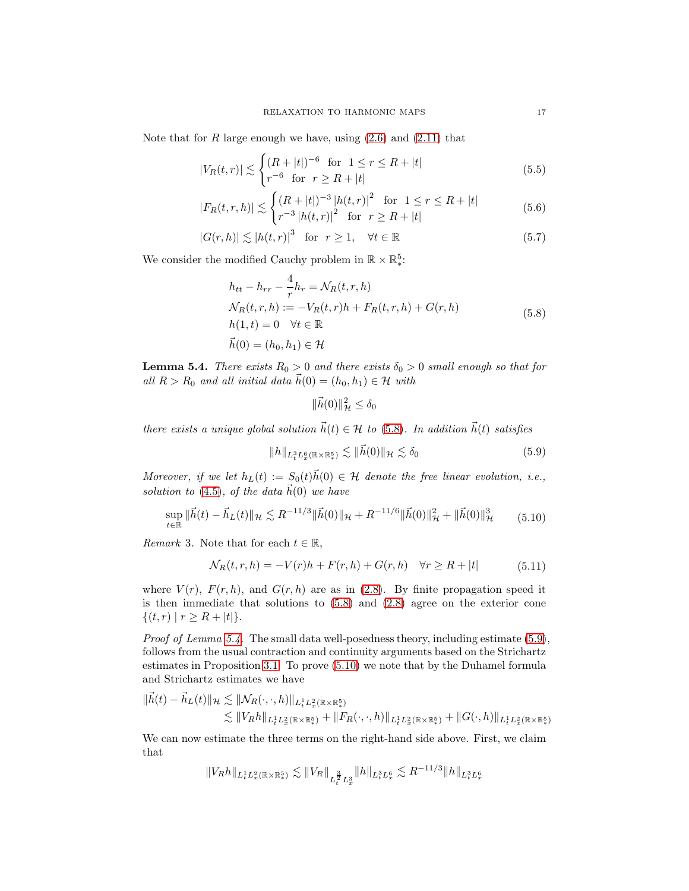Note that for  $R$  large enough we have, using  $(2.6)$  and  $(2.11)$  that

$$
|V_R(t,r)| \lesssim \begin{cases} (R+|t|)^{-6} & \text{for } 1 \le r \le R+|t| \\ r^{-6} & \text{for } r \ge R+|t| \end{cases}
$$
 (5.5)

$$
|F_R(t,r,h)| \lesssim \begin{cases} (R+|t|)^{-3} |h(t,r)|^2 & \text{for } 1 \le r \le R+|t|\\ r^{-3} |h(t,r)|^2 & \text{for } r \ge R+|t| \end{cases} \tag{5.6}
$$

$$
|G(r,h)| \lesssim |h(t,r)|^3 \quad \text{for} \quad r \ge 1, \quad \forall t \in \mathbb{R} \tag{5.7}
$$

We consider the modified Cauchy problem in  $\mathbb{R}\times\mathbb{R}_{*}^{5}.$ 

<span id="page-16-6"></span><span id="page-16-5"></span><span id="page-16-4"></span>4

$$
h_{tt} - h_{rr} - \frac{4}{r} h_r = \mathcal{N}_R(t, r, h)
$$
  
\n
$$
\mathcal{N}_R(t, r, h) := -V_R(t, r)h + F_R(t, r, h) + G(r, h)
$$
  
\n
$$
h(1, t) = 0 \quad \forall t \in \mathbb{R}
$$
  
\n
$$
\vec{h}(0) = (h_0, h_1) \in \mathcal{H}
$$
\n(5.8)

<span id="page-16-1"></span><span id="page-16-0"></span>**Lemma 5.4.** *There exists*  $R_0 > 0$  *and there exists*  $\delta_0 > 0$  *small enough so that for all*  $R > R_0$  *and all initial data*  $\vec{h}(0) = (h_0, h_1) \in \mathcal{H}$  *with* 

<span id="page-16-2"></span>
$$
\|\vec{h}(0)\|_{\mathcal{H}}^2 \le \delta_0
$$

*there exists a unique global solution*  $\vec{h}(t) \in \mathcal{H}$  *to* [\(5.8\)](#page-16-0)*. In addition*  $\vec{h}(t)$  *satisfies* 

$$
||h||_{L_t^3 L_x^6(\mathbb{R} \times \mathbb{R}^5)} \lesssim ||\vec{h}(0)||_{\mathcal{H}} \lesssim \delta_0 \tag{5.9}
$$

*Moreover, if we let*  $h_L(t) := S_0(t) \vec{h}(0) \in \mathcal{H}$  *denote the free linear evolution, i.e., solution to* [\(4.5\)](#page-13-3)*, of the data*  $\vec{h}(0)$  *we have* 

<span id="page-16-3"></span>
$$
\sup_{t \in \mathbb{R}} \|\vec{h}(t) - \vec{h}_L(t)\|_{\mathcal{H}} \lesssim R^{-11/3} \|\vec{h}(0)\|_{\mathcal{H}} + R^{-11/6} \|\vec{h}(0)\|_{\mathcal{H}}^2 + \|\vec{h}(0)\|_{\mathcal{H}}^3 \tag{5.10}
$$

*Remark* 3*.* Note that for each  $t \in \mathbb{R}$ ,

$$
\mathcal{N}_R(t, r, h) = -V(r)h + F(r, h) + G(r, h) \quad \forall r \ge R + |t| \tag{5.11}
$$

where  $V(r)$ ,  $F(r, h)$ , and  $G(r, h)$  are as in [\(2.8\)](#page-4-1). By finite propagation speed it is then immediate that solutions to  $(5.8)$  and  $(2.8)$  agree on the exterior cone  $\{(t, r) | r \ge R + |t|\}.$ 

*Proof of Lemma [5.4.](#page-16-1)* The small data well-posedness theory, including estimate [\(5.9\)](#page-16-2), follows from the usual contraction and continuity arguments based on the Strichartz estimates in Proposition [3.1.](#page-6-3) To prove [\(5.10\)](#page-16-3) we note that by the Duhamel formula and Strichartz estimates we have

$$
\begin{aligned} \|\vec{h}(t)-\vec{h}_L(t)\|_{\mathcal{H}}&\lesssim \|\mathcal{N}_R(\cdot,\cdot,h)\|_{L^1_tL^2_x(\mathbb{R}\times\mathbb{R}^5_x)}\\ &\lesssim \|V_Rh\|_{L^1_tL^2_x(\mathbb{R}\times\mathbb{R}^5_x)}+\|F_R(\cdot,\cdot,h)\|_{L^1_tL^2_x(\mathbb{R}\times\mathbb{R}^5_x)}+\|G(\cdot,h)\|_{L^1_tL^2_x(\mathbb{R}\times\mathbb{R}^5_x)}\end{aligned}
$$

We can now estimate the three terms on the right-hand side above. First, we claim that

$$
||V_Rh||_{L^1_tL^2_x(\mathbb{R}\times\mathbb{R}^5_*)}\lesssim ||V_R||_{L^{\frac{3}{2}}_tL^3_x} ||h||_{L^3_tL^6_x}\lesssim R^{-11/3}||h||_{L^3_tL^6_x}
$$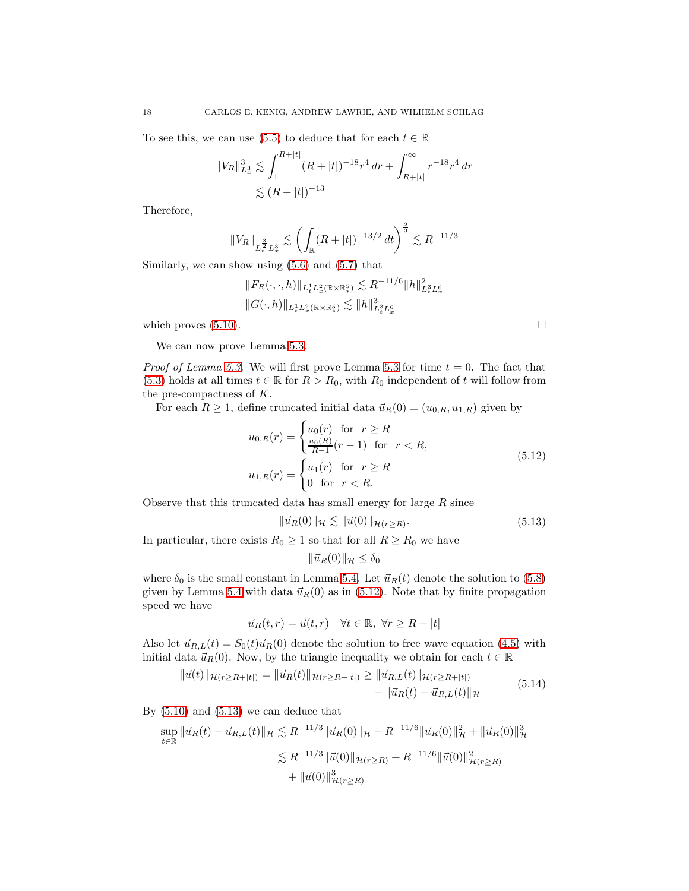To see this, we can use [\(5.5\)](#page-16-4) to deduce that for each  $t \in \mathbb{R}$ 

$$
||V_R||_{L_x^3}^3 \lesssim \int_1^{R+|t|} (R+|t|)^{-18} r^4 \, dr + \int_{R+|t|}^{\infty} r^{-18} r^4 \, dr
$$
  

$$
\lesssim (R+|t|)^{-13}
$$

Therefore,

$$
||V_R||_{L_t^{\frac{3}{2}}L_x^3} \lesssim \left(\int_{\mathbb{R}} (R+|t|)^{-13/2} dt\right)^{\frac{2}{3}} \lesssim R^{-11/3}
$$

Similarly, we can show using  $(5.6)$  and  $(5.7)$  that

$$
||F_R(\cdot,\cdot,h)||_{L^1_t L^2_x(\mathbb{R}\times\mathbb{R}^5_x)} \lesssim R^{-11/6}||h||^2_{L^3_t L^6_x}
$$
  

$$
||G(\cdot,h)||_{L^1_t L^2_x(\mathbb{R}\times\mathbb{R}^5_x)} \lesssim ||h||^3_{L^3_t L^6_x}
$$

which proves  $(5.10)$ .

We can now prove Lemma [5.3.](#page-15-2)

*Proof of Lemma [5.3.](#page-15-2)* We will first prove Lemma [5.3](#page-15-1) for time  $t = 0$ . The fact that [\(5.3\)](#page-15-1) holds at all times  $t \in \mathbb{R}$  for  $R > R_0$ , with  $R_0$  independent of t will follow from the pre-compactness of K.

For each  $R \geq 1$ , define truncated initial data  $\vec{u}_R(0) = (u_{0,R}, u_{1,R})$  given by

$$
u_{0,R}(r) = \begin{cases} u_0(r) & \text{for } r \ge R \\ \frac{u_0(R)}{R-1}(r-1) & \text{for } r < R, \end{cases}
$$
  

$$
u_{1,R}(r) = \begin{cases} u_1(r) & \text{for } r \ge R \\ 0 & \text{for } r < R. \end{cases}
$$
 (5.12)

Observe that this truncated data has small energy for large  $R$  since

$$
\|\vec{u}_R(0)\|_{\mathcal{H}} \lesssim \|\vec{u}(0)\|_{\mathcal{H}(r \ge R)}.\tag{5.13}
$$

In particular, there exists  $R_0 \geq 1$  so that for all  $R \geq R_0$  we have

$$
\|\vec{u}_R(0)\|_{\mathcal{H}} \leq \delta_0
$$

where  $\delta_0$  is the small constant in Lemma [5.4.](#page-16-1) Let  $\vec{u}_R(t)$  denote the solution to [\(5.8\)](#page-16-0) given by Lemma [5.4](#page-16-1) with data  $\vec{u}_R(0)$  as in [\(5.12\)](#page-17-0). Note that by finite propagation speed we have

$$
\vec{u}_R(t,r) = \vec{u}(t,r) \quad \forall t \in \mathbb{R}, \ \forall r \ge R + |t|
$$

Also let  $\vec{u}_{R,L}(t) = S_0(t)\vec{u}_R(0)$  denote the solution to free wave equation [\(4.5\)](#page-13-3) with initial data  $\vec{u}_R(0)$ . Now, by the triangle inequality we obtain for each  $t \in \mathbb{R}$ 

$$
\begin{aligned} \|\vec{u}(t)\|_{\mathcal{H}(r\geq R+|t|)} &= \|\vec{u}_R(t)\|_{\mathcal{H}(r\geq R+|t|)} \geq \|\vec{u}_{R,L}(t)\|_{\mathcal{H}(r\geq R+|t|)} \\ &- \|\vec{u}_R(t) - \vec{u}_{R,L}(t)\|_{\mathcal{H}} \end{aligned} \tag{5.14}
$$

<span id="page-17-2"></span>By  $(5.10)$  and  $(5.13)$  we can deduce that

$$
\sup_{t \in \mathbb{R}} \|\vec{u}_R(t) - \vec{u}_{R,L}(t)\|_{\mathcal{H}} \lesssim R^{-11/3} \|\vec{u}_R(0)\|_{\mathcal{H}} + R^{-11/6} \|\vec{u}_R(0)\|_{\mathcal{H}}^2 + \|\vec{u}_R(0)\|_{\mathcal{H}}^3
$$
  

$$
\lesssim R^{-11/3} \|\vec{u}(0)\|_{\mathcal{H}(r \ge R)} + R^{-11/6} \|\vec{u}(0)\|_{\mathcal{H}(r \ge R)}^2
$$
  

$$
+ \|\vec{u}(0)\|_{\mathcal{H}(r \ge R)}^3
$$

<span id="page-17-1"></span><span id="page-17-0"></span>
$$
\mathbf{L}^{\mathbf{r}}_{\mathbf{r}}
$$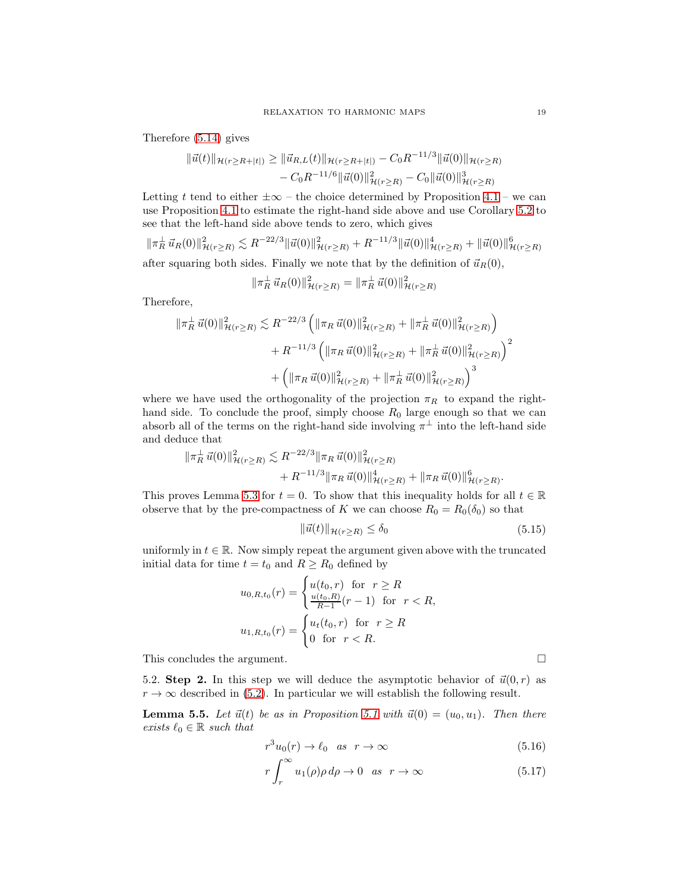Therefore [\(5.14\)](#page-17-2) gives

$$
\begin{aligned} \|\vec{u}(t)\|_{\mathcal{H}(r\geq R+|t|)} &\geq \|\vec{u}_{R,L}(t)\|_{\mathcal{H}(r\geq R+|t|)} - C_0 R^{-11/3} \|\vec{u}(0)\|_{\mathcal{H}(r\geq R)} \\ &- C_0 R^{-11/6} \|\vec{u}(0)\|_{\mathcal{H}(r\geq R)}^2 - C_0 \|\vec{u}(0)\|_{\mathcal{H}(r\geq R)}^3 \end{aligned}
$$

Letting t tend to either  $\pm \infty$  – the choice determined by Proposition [4.1](#page-12-0) – we can use Proposition [4.1](#page-12-0) to estimate the right-hand side above and use Corollary [5.2](#page-14-3) to see that the left-hand side above tends to zero, which gives

$$
\|\pi_R^{\perp}\vec{u}_R(0)\|_{\mathcal{H}(r\geq R)}^2 \lesssim R^{-22/3} \|\vec{u}(0)\|_{\mathcal{H}(r\geq R)}^2 + R^{-11/3} \|\vec{u}(0)\|_{\mathcal{H}(r\geq R)}^4 + \|\vec{u}(0)\|_{\mathcal{H}(r\geq R)}^6
$$

after squaring both sides. Finally we note that by the definition of  $\vec{u}_R(0)$ ,

$$
\|\pi_R^{\perp}\vec{u}_R(0)\|_{\mathcal{H}(r\geq R)}^2 = \|\pi_R^{\perp}\vec{u}(0)\|_{\mathcal{H}(r\geq R)}^2
$$

Therefore,

$$
\begin{aligned} \|\pi_R^{\perp}\,\vec{u}(0)\|_{\mathcal{H}(r\geq R)}^2 &\lesssim R^{-22/3} \left( \|\pi_R\,\vec{u}(0)\|_{\mathcal{H}(r\geq R)}^2 + \|\pi_R^{\perp}\,\vec{u}(0)\|_{\mathcal{H}(r\geq R)}^2 \right) \\ &\quad + R^{-11/3} \left( \|\pi_R\,\vec{u}(0)\|_{\mathcal{H}(r\geq R)}^2 + \|\pi_R^{\perp}\,\vec{u}(0)\|_{\mathcal{H}(r\geq R)}^2 \right)^2 \\ &\quad + \left( \|\pi_R\,\vec{u}(0)\|_{\mathcal{H}(r\geq R)}^2 + \|\pi_R^{\perp}\,\vec{u}(0)\|_{\mathcal{H}(r\geq R)}^2 \right)^3 \end{aligned}
$$

where we have used the orthogonality of the projection  $\pi_R$  to expand the righthand side. To conclude the proof, simply choose  $R_0$  large enough so that we can absorb all of the terms on the right-hand side involving  $\pi^{\perp}$  into the left-hand side and deduce that

$$
\begin{aligned} \|\pi_R^{\perp}\vec{u}(0)\|_{\mathcal{H}(r\geq R)}^2 &\lesssim R^{-22/3} \|\pi_R\,\vec{u}(0)\|_{\mathcal{H}(r\geq R)}^2 \\ &+ R^{-11/3} \|\pi_R\,\vec{u}(0)\|_{\mathcal{H}(r\geq R)}^4 + \|\pi_R\,\vec{u}(0)\|_{\mathcal{H}(r\geq R)}^6. \end{aligned}
$$

This proves Lemma [5.3](#page-15-2) for  $t = 0$ . To show that this inequality holds for all  $t \in \mathbb{R}$ observe that by the pre-compactness of K we can choose  $R_0 = R_0(\delta_0)$  so that

$$
\|\vec{u}(t)\|_{\mathcal{H}(r\geq R)} \leq \delta_0 \tag{5.15}
$$

uniformly in  $t \in \mathbb{R}$ . Now simply repeat the argument given above with the truncated initial data for time  $t = t_0$  and  $R \ge R_0$  defined by

$$
u_{0,R,t_0}(r) = \begin{cases} u(t_0,r) & \text{for } r \ge R\\ \frac{u(t_0,R)}{R-1}(r-1) & \text{for } r < R, \end{cases}
$$
  

$$
u_{1,R,t_0}(r) = \begin{cases} u_t(t_0,r) & \text{for } r \ge R\\ 0 & \text{for } r < R. \end{cases}
$$

This concludes the argument.

5.2. Step 2. In this step we will deduce the asymptotic behavior of  $\vec{u}(0, r)$  as  $r \to \infty$  described in [\(5.2\)](#page-15-0). In particular we will establish the following result.

<span id="page-18-0"></span>**Lemma 5.5.** Let  $\vec{u}(t)$  be as in Proposition [5.1](#page-14-2) with  $\vec{u}(0) = (u_0, u_1)$ . Then there *exists*  $\ell_0 \in \mathbb{R}$  *such that* 

$$
r^3u_0(r) \to \ell_0 \quad as \quad r \to \infty \tag{5.16}
$$

$$
r \int_{r}^{\infty} u_1(\rho) \rho \, d\rho \to 0 \quad \text{as} \quad r \to \infty \tag{5.17}
$$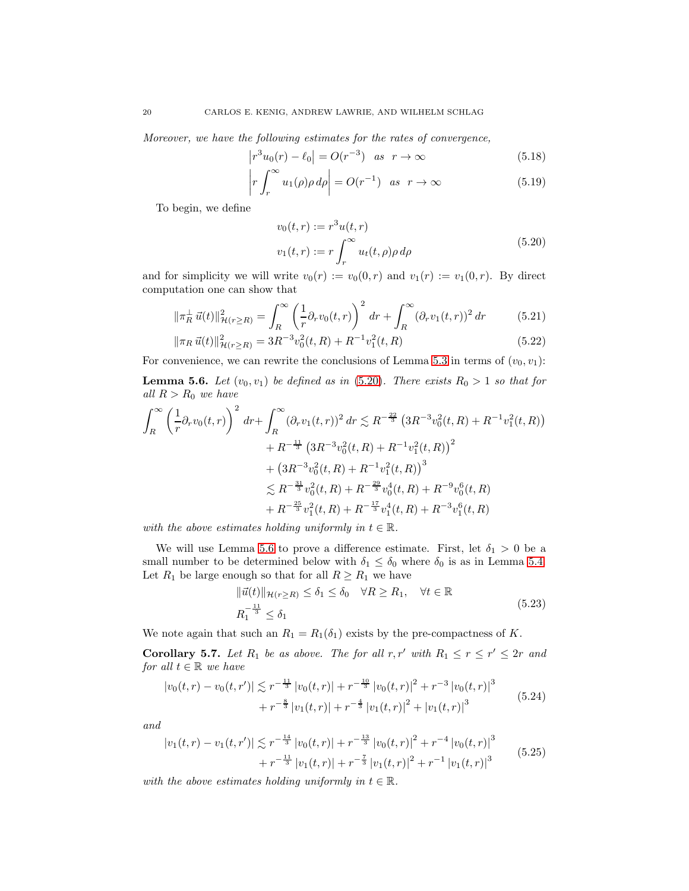*Moreover, we have the following estimates for the rates of convergence,*

$$
\left| r^3 u_0(r) - \ell_0 \right| = O(r^{-3}) \quad \text{as} \quad r \to \infty \tag{5.18}
$$

$$
\left| r \int_{r}^{\infty} u_1(\rho) \rho \, d\rho \right| = O(r^{-1}) \quad \text{as} \quad r \to \infty \tag{5.19}
$$

<span id="page-19-0"></span>To begin, we define

<span id="page-19-3"></span>
$$
v_0(t,r) := r^3 u(t,r)
$$
  

$$
v_1(t,r) := r \int_r^{\infty} u_t(t,\rho) \rho d\rho
$$
 (5.20)

and for simplicity we will write  $v_0(r) := v_0(0, r)$  and  $v_1(r) := v_1(0, r)$ . By direct computation one can show that

$$
\|\pi_R^{\perp}\vec{u}(t)\|_{\mathcal{H}(r\geq R)}^2 = \int_R^{\infty} \left(\frac{1}{r}\partial_r v_0(t,r)\right)^2 dr + \int_R^{\infty} (\partial_r v_1(t,r))^2 dr \tag{5.21}
$$

$$
\|\pi_R \vec{u}(t)\|_{\mathcal{H}(r\geq R)}^2 = 3R^{-3}v_0^2(t,R) + R^{-1}v_1^2(t,R)
$$
\n(5.22)

For convenience, we can rewrite the conclusions of Lemma [5.3](#page-15-2) in terms of  $(v_0, v_1)$ :

<span id="page-19-1"></span>**Lemma 5.6.** Let  $(v_0, v_1)$  be defined as in [\(5.20\)](#page-19-0). There exists  $R_0 > 1$  so that for *all*  $R > R_0$  *we have* 

$$
\int_{R}^{\infty} \left(\frac{1}{r}\partial_{r}v_{0}(t,r)\right)^{2} dr + \int_{R}^{\infty} (\partial_{r}v_{1}(t,r))^{2} dr \lesssim R^{-\frac{22}{3}} \left(3R^{-3}v_{0}^{2}(t,R) + R^{-1}v_{1}^{2}(t,R)\right) \n+ R^{-\frac{11}{3}} \left(3R^{-3}v_{0}^{2}(t,R) + R^{-1}v_{1}^{2}(t,R)\right)^{2} \n+ \left(3R^{-3}v_{0}^{2}(t,R) + R^{-1}v_{1}^{2}(t,R)\right)^{3} \n\lesssim R^{-\frac{31}{3}}v_{0}^{2}(t,R) + R^{-\frac{29}{3}}v_{0}^{4}(t,R) + R^{-9}v_{0}^{6}(t,R) \n+ R^{-\frac{25}{3}}v_{1}^{2}(t,R) + R^{-\frac{17}{3}}v_{1}^{4}(t,R) + R^{-3}v_{1}^{6}(t,R)
$$

*with the above estimates holding uniformly in*  $t \in \mathbb{R}$ .

We will use Lemma [5.6](#page-19-1) to prove a difference estimate. First, let  $\delta_1 > 0$  be a small number to be determined below with  $\delta_1 \leq \delta_0$  where  $\delta_0$  is as in Lemma [5.4.](#page-16-1) Let  $R_1$  be large enough so that for all  $R \ge R_1$  we have

$$
\|\vec{u}(t)\|_{\mathcal{H}(r\geq R)} \leq \delta_1 \leq \delta_0 \quad \forall R \geq R_1, \quad \forall t \in \mathbb{R}
$$
  

$$
R_1^{-\frac{11}{3}} \leq \delta_1 \tag{5.23}
$$

<span id="page-19-4"></span>We note again that such an  $R_1 = R_1(\delta_1)$  exists by the pre-compactness of K.

<span id="page-19-2"></span>**Corollary 5.7.** Let  $R_1$  be as above. The for all  $r, r'$  with  $R_1 \le r \le r' \le 2r$  and *for all*  $t \in \mathbb{R}$  *we have* 

<span id="page-19-5"></span>
$$
\begin{split} |v_0(t,r) - v_0(t,r')| &\lesssim r^{-\frac{11}{3}} |v_0(t,r)| + r^{-\frac{10}{3}} |v_0(t,r)|^2 + r^{-3} |v_0(t,r)|^3 \\ &+ r^{-\frac{8}{3}} |v_1(t,r)| + r^{-\frac{4}{3}} |v_1(t,r)|^2 + |v_1(t,r)|^3 \end{split} \tag{5.24}
$$

*and*

<span id="page-19-6"></span>
$$
\begin{split} |v_1(t,r) - v_1(t,r')| &\lesssim r^{-\frac{14}{3}} |v_0(t,r)| + r^{-\frac{13}{3}} |v_0(t,r)|^2 + r^{-4} |v_0(t,r)|^3 \\ &+ r^{-\frac{11}{3}} |v_1(t,r)| + r^{-\frac{7}{3}} |v_1(t,r)|^2 + r^{-1} |v_1(t,r)|^3 \end{split} \tag{5.25}
$$

*with the above estimates holding uniformly in*  $t \in \mathbb{R}$ *.*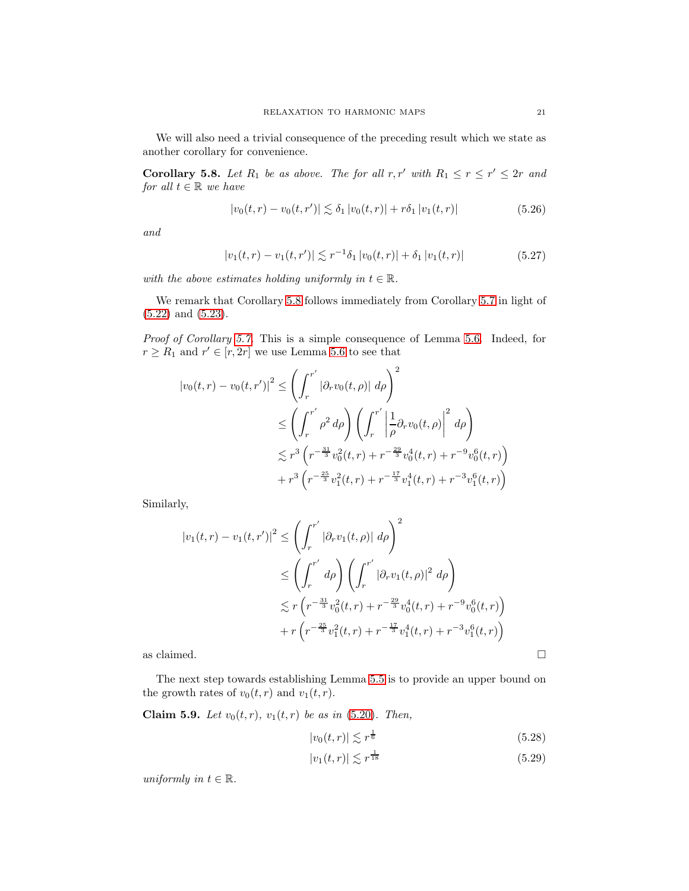We will also need a trivial consequence of the preceding result which we state as another corollary for convenience.

<span id="page-20-0"></span>**Corollary 5.8.** Let  $R_1$  be as above. The for all  $r, r'$  with  $R_1 \le r \le r' \le 2r$  and *for all*  $t \in \mathbb{R}$  *we have* 

$$
|v_0(t,r) - v_0(t,r')| \lesssim \delta_1 |v_0(t,r)| + r\delta_1 |v_1(t,r)| \tag{5.26}
$$

<span id="page-20-2"></span>*and*

$$
|v_1(t,r) - v_1(t,r')| \lesssim r^{-1} \delta_1 |v_0(t,r)| + \delta_1 |v_1(t,r)| \tag{5.27}
$$

<span id="page-20-3"></span>*with the above estimates holding uniformly in*  $t \in \mathbb{R}$ *.* 

We remark that Corollary [5.8](#page-20-0) follows immediately from Corollary [5.7](#page-19-2) in light of [\(5.22\)](#page-19-3) and [\(5.23\)](#page-19-4).

*Proof of Corollary [5.7.](#page-19-2)* This is a simple consequence of Lemma [5.6.](#page-19-1) Indeed, for  $r \geq R_1$  and  $r' \in [r, 2r]$  we use Lemma [5.6](#page-19-1) to see that

$$
\begin{split} |v_0(t,r) - v_0(t,r')|^2 &\leq \left(\int_r^{r'} |\partial_r v_0(t,\rho)| \, d\rho\right)^2 \\ &\leq \left(\int_r^{r'} \rho^2 \, d\rho\right) \left(\int_r^{r'} \left|\frac{1}{\rho} \partial_r v_0(t,\rho)\right|^2 \, d\rho\right) \\ &\lesssim r^3 \left(r^{-\frac{31}{3}} v_0^2(t,r) + r^{-\frac{29}{3}} v_0^4(t,r) + r^{-9} v_0^6(t,r)\right) \\ &+ r^3 \left(r^{-\frac{25}{3}} v_1^2(t,r) + r^{-\frac{17}{3}} v_1^4(t,r) + r^{-3} v_1^6(t,r)\right) \end{split}
$$

Similarly,

$$
|v_1(t,r) - v_1(t,r')|^2 \leq \left(\int_r^{r'} |\partial_r v_1(t,\rho)| d\rho\right)^2
$$
  
\n
$$
\leq \left(\int_r^{r'} d\rho\right) \left(\int_r^{r'} |\partial_r v_1(t,\rho)|^2 d\rho\right)
$$
  
\n
$$
\lesssim r \left(r^{-\frac{31}{3}} v_0^2(t,r) + r^{-\frac{29}{3}} v_0^4(t,r) + r^{-9} v_0^6(t,r)\right)
$$
  
\n
$$
+ r \left(r^{-\frac{25}{3}} v_1^2(t,r) + r^{-\frac{17}{3}} v_1^4(t,r) + r^{-3} v_1^6(t,r)\right)
$$

as claimed.  $\hfill \square$ 

The next step towards establishing Lemma [5.5](#page-18-0) is to provide an upper bound on the growth rates of  $v_0(t, r)$  and  $v_1(t, r)$ .

<span id="page-20-1"></span>**Claim 5.9.** *Let*  $v_0(t, r)$ *,*  $v_1(t, r)$  *be as in* [\(5.20\)](#page-19-0)*. Then,* 

<span id="page-20-5"></span><span id="page-20-4"></span>
$$
|v_0(t,r)| \lesssim r^{\frac{1}{6}} \tag{5.28}
$$

$$
|v_1(t,r)| \lesssim r^{\frac{1}{18}}\tag{5.29}
$$

*uniformly in*  $t \in \mathbb{R}$ *.*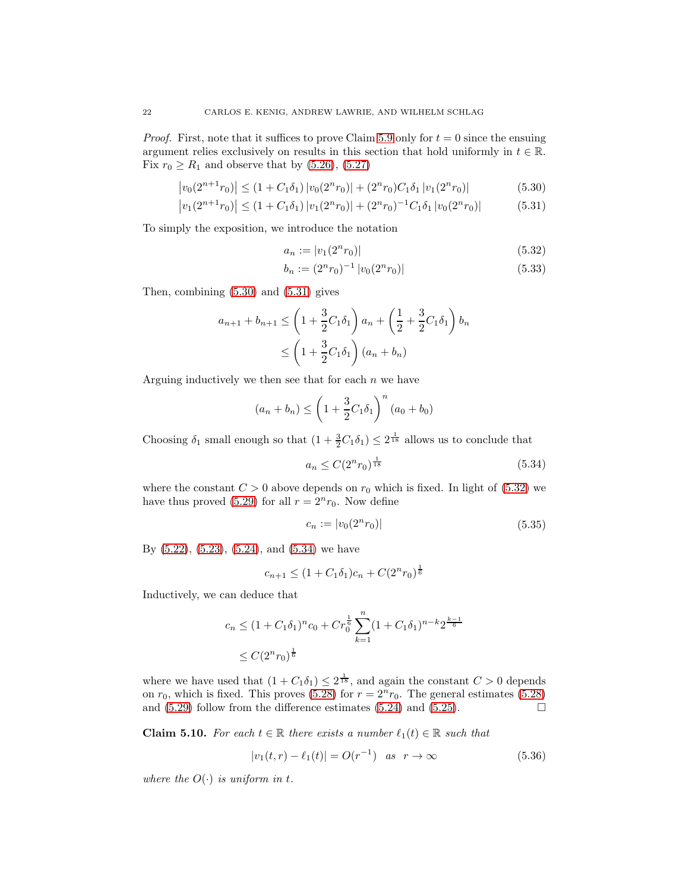*Proof.* First, note that it suffices to prove Claim [5.9](#page-20-1) only for  $t = 0$  since the ensuing argument relies exclusively on results in this section that hold uniformly in  $t \in \mathbb{R}$ . Fix  $r_0 \ge R_1$  and observe that by [\(5.26\)](#page-20-2), [\(5.27\)](#page-20-3)

$$
\left|v_0(2^{n+1}r_0)\right| \le (1 + C_1\delta_1)\left|v_0(2^n r_0)\right| + (2^n r_0)C_1\delta_1\left|v_1(2^n r_0)\right|\tag{5.30}
$$

$$
\left| v_1(2^{n+1}r_0) \right| \le (1 + C_1 \delta_1) \left| v_1(2^n r_0) \right| + (2^n r_0)^{-1} C_1 \delta_1 \left| v_0(2^n r_0) \right| \tag{5.31}
$$

To simply the exposition, we introduce the notation

<span id="page-21-1"></span><span id="page-21-0"></span>
$$
a_n := |v_1(2^n r_0)| \tag{5.32}
$$

<span id="page-21-2"></span>
$$
b_n := (2^n r_0)^{-1} |v_0(2^n r_0)| \tag{5.33}
$$

Then, combining [\(5.30\)](#page-21-0) and [\(5.31\)](#page-21-1) gives

$$
a_{n+1} + b_{n+1} \le \left(1 + \frac{3}{2}C_1\delta_1\right)a_n + \left(\frac{1}{2} + \frac{3}{2}C_1\delta_1\right)b_n
$$
  

$$
\le \left(1 + \frac{3}{2}C_1\delta_1\right)(a_n + b_n)
$$

Arguing inductively we then see that for each  $n$  we have

$$
(a_n + b_n) \le \left(1 + \frac{3}{2}C_1\delta_1\right)^n (a_0 + b_0)
$$

Choosing  $\delta_1$  small enough so that  $(1 + \frac{3}{2}C_1\delta_1) \leq 2^{\frac{1}{18}}$  allows us to conclude that

$$
a_n \le C(2^n r_0)^{\frac{1}{18}} \tag{5.34}
$$

<span id="page-21-3"></span>where the constant  $C > 0$  above depends on  $r_0$  which is fixed. In light of [\(5.32\)](#page-21-2) we have thus proved [\(5.29\)](#page-20-4) for all  $r = 2<sup>n</sup>r<sub>0</sub>$ . Now define

$$
c_n := |v_0(2^n r_0)| \tag{5.35}
$$

By [\(5.22\)](#page-19-3), [\(5.23\)](#page-19-4), [\(5.24\)](#page-19-5), and [\(5.34\)](#page-21-3) we have

$$
c_{n+1} \le (1 + C_1 \delta_1) c_n + C(2^n r_0)^{\frac{1}{6}}
$$

Inductively, we can deduce that

$$
c_n \le (1 + C_1 \delta_1)^n c_0 + C r_0^{\frac{1}{6}} \sum_{k=1}^n (1 + C_1 \delta_1)^{n-k} 2^{\frac{k-1}{6}}
$$
  
 
$$
\le C (2^n r_0)^{\frac{1}{6}}
$$

where we have used that  $(1 + C_1 \delta_1) \leq 2^{\frac{1}{18}}$ , and again the constant  $C > 0$  depends on  $r_0$ , which is fixed. This proves [\(5.28\)](#page-20-5) for  $r = 2^n r_0$ . The general estimates (5.28) and (5.29) follow from the difference estimates (5.24) and (5.25). and [\(5.29\)](#page-20-4) follow from the difference estimates [\(5.24\)](#page-19-5) and [\(5.25\)](#page-19-6).

<span id="page-21-5"></span>**Claim 5.10.** For each  $t \in \mathbb{R}$  there exists a number  $\ell_1(t) \in \mathbb{R}$  such that

<span id="page-21-4"></span>
$$
|v_1(t, r) - \ell_1(t)| = O(r^{-1}) \quad \text{as} \quad r \to \infty \tag{5.36}
$$

*where the*  $O(\cdot)$  *is uniform in t.* 

 $\overline{\phantom{a}}$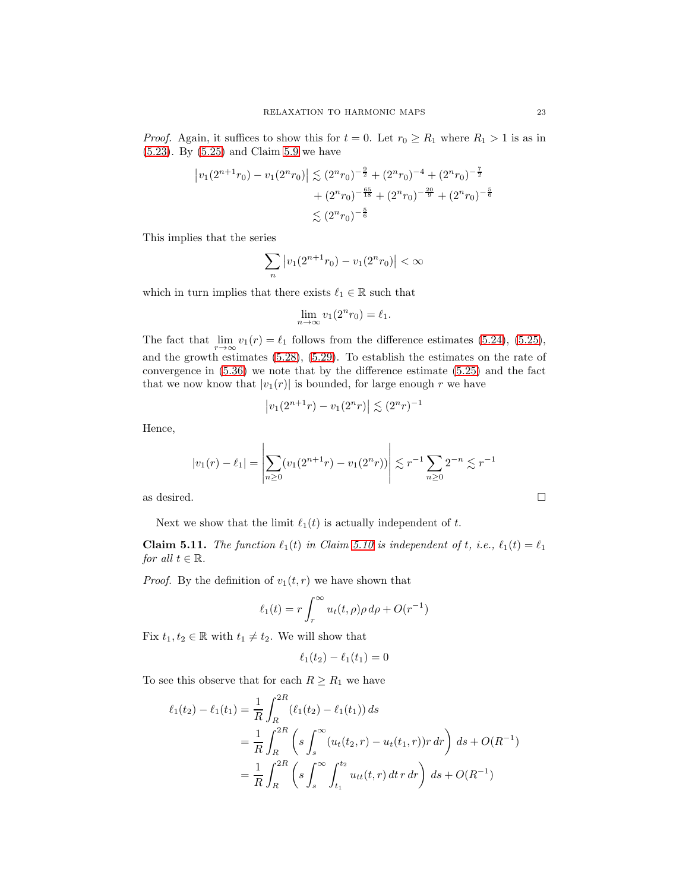*Proof.* Again, it suffices to show this for  $t = 0$ . Let  $r_0 \ge R_1$  where  $R_1 > 1$  is as in [\(5.23\)](#page-19-4). By [\(5.25\)](#page-19-6) and Claim [5.9](#page-20-1) we have

$$
\left| v_1(2^{n+1}r_0) - v_1(2^nr_0) \right| \lesssim (2^n r_0)^{-\frac{9}{2}} + (2^n r_0)^{-4} + (2^n r_0)^{-\frac{7}{2}} + (2^n r_0)^{-\frac{65}{18}} + (2^n r_0)^{-\frac{20}{9}} + (2^n r_0)^{-\frac{5}{6}} \lesssim (2^n r_0)^{-\frac{5}{6}}
$$

This implies that the series

$$
\sum_{n} |v_1(2^{n+1}r_0) - v_1(2^n r_0)| < \infty
$$

which in turn implies that there exists  $\ell_1 \in \mathbb{R}$  such that

$$
\lim_{n \to \infty} v_1(2^n r_0) = \ell_1.
$$

The fact that  $\lim_{r \to \infty} v_1(r) = \ell_1$  follows from the difference estimates [\(5.24\)](#page-19-5), [\(5.25\)](#page-19-6), and the growth estimates [\(5.28\)](#page-20-5), [\(5.29\)](#page-20-4). To establish the estimates on the rate of convergence in [\(5.36\)](#page-21-4) we note that by the difference estimate [\(5.25\)](#page-19-6) and the fact that we now know that  $|v_1(r)|$  is bounded, for large enough r we have

$$
|v_1(2^{n+1}r) - v_1(2^nr)| \lesssim (2^nr)^{-1}
$$

Hence,

$$
|v_1(r) - \ell_1| = \left| \sum_{n \ge 0} (v_1(2^{n+1}r) - v_1(2^nr)) \right| \lesssim r^{-1} \sum_{n \ge 0} 2^{-n} \lesssim r^{-1}
$$

as desired.  $\hfill \square$ 

Next we show that the limit  $\ell_1(t)$  is actually independent of t.

**Claim 5.11.** *The function*  $\ell_1(t)$  *in Claim [5.10](#page-21-5) is independent of t, i.e.,*  $\ell_1(t) = \ell_1$ *for all*  $t \in \mathbb{R}$ *.* 

*Proof.* By the definition of  $v_1(t, r)$  we have shown that

$$
\ell_1(t) = r \int_r^{\infty} u_t(t,\rho) \rho \, d\rho + O(r^{-1})
$$

Fix  $t_1, t_2 \in \mathbb{R}$  with  $t_1 \neq t_2$ . We will show that

$$
\ell_1(t_2) - \ell_1(t_1) = 0
$$

To see this observe that for each  $R \geq R_1$  we have

$$
\ell_1(t_2) - \ell_1(t_1) = \frac{1}{R} \int_R^{2R} (\ell_1(t_2) - \ell_1(t_1)) ds
$$
  
= 
$$
\frac{1}{R} \int_R^{2R} \left( s \int_s^{\infty} (u_t(t_2, r) - u_t(t_1, r)) r dr \right) ds + O(R^{-1})
$$
  
= 
$$
\frac{1}{R} \int_R^{2R} \left( s \int_s^{\infty} \int_{t_1}^{t_2} u_{tt}(t, r) dr dr dr \right) ds + O(R^{-1})
$$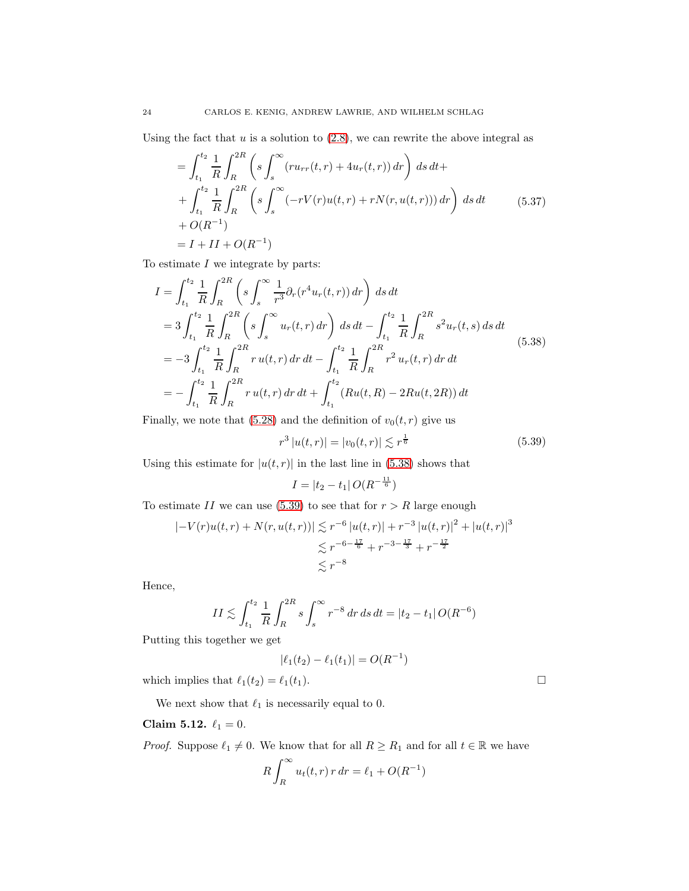Using the fact that  $u$  is a solution to  $(2.8)$ , we can rewrite the above integral as

$$
= \int_{t_1}^{t_2} \frac{1}{R} \int_{R}^{2R} \left( s \int_{s}^{\infty} (r u_{rr}(t, r) + 4u_r(t, r)) dr \right) ds dt +
$$
  
+ 
$$
\int_{t_1}^{t_2} \frac{1}{R} \int_{R}^{2R} \left( s \int_{s}^{\infty} (-r V(r) u(t, r) + r N(r, u(t, r))) dr \right) ds dt \qquad (5.37)
$$
  
+ 
$$
O(R^{-1})
$$
  
=  $I + II + O(R^{-1})$ 

To estimate  $I$  we integrate by parts:

<span id="page-23-0"></span>
$$
I = \int_{t_1}^{t_2} \frac{1}{R} \int_{R}^{2R} \left( s \int_{s}^{\infty} \frac{1}{r^3} \partial_r (r^4 u_r(t, r)) dr \right) ds dt
$$
  
\n
$$
= 3 \int_{t_1}^{t_2} \frac{1}{R} \int_{R}^{2R} \left( s \int_{s}^{\infty} u_r(t, r) dr \right) ds dt - \int_{t_1}^{t_2} \frac{1}{R} \int_{R}^{2R} s^2 u_r(t, s) ds dt
$$
  
\n
$$
= -3 \int_{t_1}^{t_2} \frac{1}{R} \int_{R}^{2R} r u(t, r) dr dt - \int_{t_1}^{t_2} \frac{1}{R} \int_{R}^{2R} r^2 u_r(t, r) dr dt
$$
  
\n
$$
= - \int_{t_1}^{t_2} \frac{1}{R} \int_{R}^{2R} r u(t, r) dr dt + \int_{t_1}^{t_2} (Ru(t, R) - 2Ru(t, 2R)) dt
$$
  
\n(5.38)

Finally, we note that [\(5.28\)](#page-20-5) and the definition of  $v_0(t, r)$  give us

$$
r^3 |u(t,r)| = |v_0(t,r)| \lesssim r^{\frac{1}{6}}
$$
\n(5.39)

<span id="page-23-1"></span>Using this estimate for  $|u(t, r)|$  in the last line in [\(5.38\)](#page-23-0) shows that

$$
I = |t_2 - t_1| O(R^{-\frac{11}{6}})
$$

To estimate II we can use [\(5.39\)](#page-23-1) to see that for  $r > R$  large enough

$$
|-V(r)u(t,r) + N(r, u(t,r))| \lesssim r^{-6} |u(t,r)| + r^{-3} |u(t,r)|^2 + |u(t,r)|^3
$$
  

$$
\lesssim r^{-6 - \frac{17}{6}} + r^{-3 - \frac{17}{3}} + r^{-\frac{17}{2}}
$$
  

$$
\lesssim r^{-8}
$$

Hence,

$$
II \lesssim \int_{t_1}^{t_2} \frac{1}{R} \int_{R}^{2R} s \int_{s}^{\infty} r^{-8} dr ds dt = |t_2 - t_1| O(R^{-6})
$$

Putting this together we get

$$
|\ell_1(t_2) - \ell_1(t_1)| = O(R^{-1})
$$

which implies that  $\ell_1(t_2) = \ell_1(t_1)$ .

We next show that  $\ell_1$  is necessarily equal to 0.

# Claim 5.12.  $\ell_1 = 0$ .

*Proof.* Suppose  $\ell_1 \neq 0$ . We know that for all  $R \geq R_1$  and for all  $t \in \mathbb{R}$  we have

$$
R\int_R^{\infty} u_t(t,r) r dr = \ell_1 + O(R^{-1})
$$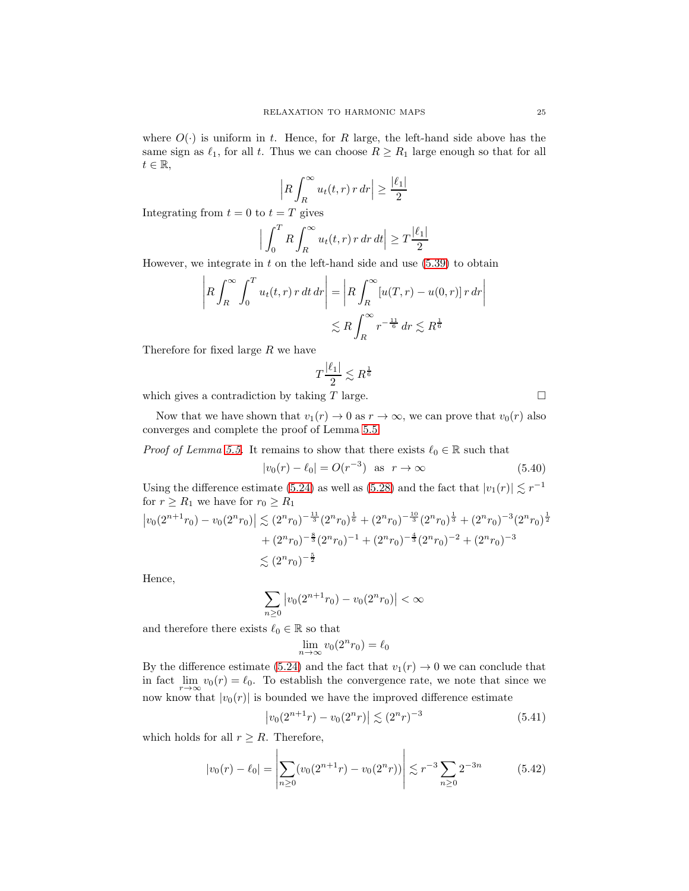where  $O(\cdot)$  is uniform in t. Hence, for R large, the left-hand side above has the same sign as  $\ell_1$ , for all t. Thus we can choose  $R \ge R_1$  large enough so that for all  $t \in \mathbb{R},$ 

$$
\left| R \int_{R}^{\infty} u_t(t, r) r \, dr \right| \ge \frac{|\ell_1|}{2}
$$

Integrating from  $t = 0$  to  $t = T$  gives

$$
\Big|\int_0^T R \int_R^{\infty} u_t(t,r) \, r \, dr \, dt \Big| \ge T \frac{|\ell_1|}{2}
$$

However, we integrate in  $t$  on the left-hand side and use  $(5.39)$  to obtain

$$
\left| R \int_{R}^{\infty} \int_{0}^{T} u_t(t, r) r dt dr \right| = \left| R \int_{R}^{\infty} [u(T, r) - u(0, r)] r dr \right|
$$
  

$$
\lesssim R \int_{R}^{\infty} r^{-\frac{11}{6}} dr \lesssim R^{\frac{1}{6}}
$$

Therefore for fixed large R we have

$$
T\frac{|\ell_1|}{2} \lesssim R
$$

1 6

which gives a contradiction by taking  $T$  large.

Now that we have shown that  $v_1(r) \to 0$  as  $r \to \infty$ , we can prove that  $v_0(r)$  also converges and complete the proof of Lemma [5.5.](#page-18-0)

*Proof of Lemma [5.5.](#page-18-0)* It remains to show that there exists  $\ell_0 \in \mathbb{R}$  such that

$$
|v_0(r) - \ell_0| = O(r^{-3}) \text{ as } r \to \infty
$$
 (5.40)

Using the difference estimate [\(5.24\)](#page-19-5) as well as [\(5.28\)](#page-20-5) and the fact that  $|v_1(r)| \lesssim r^{-1}$ for  $r \geq R_1$  we have for  $r_0 \geq R_1$ 

$$
\left| v_0(2^{n+1}r_0) - v_0(2^nr_0) \right| \lesssim (2^n r_0)^{-\frac{11}{3}} (2^n r_0)^{\frac{1}{6}} + (2^n r_0)^{-\frac{10}{3}} (2^n r_0)^{\frac{1}{3}} + (2^n r_0)^{-3} (2^n r_0)^{\frac{1}{2}}
$$
  
+  $(2^n r_0)^{-\frac{8}{3}} (2^n r_0)^{-1} + (2^n r_0)^{-\frac{4}{3}} (2^n r_0)^{-2} + (2^n r_0)^{-3}$   
 $\lesssim (2^n r_0)^{-\frac{5}{2}}$ 

Hence,

$$
\sum_{n\geq 0} \left| v_0(2^{n+1}r_0) - v_0(2^nr_0) \right| < \infty
$$

and therefore there exists  $\ell_0 \in \mathbb{R}$  so that

$$
\lim_{n \to \infty} v_0(2^n r_0) = \ell_0
$$

By the difference estimate [\(5.24\)](#page-19-5) and the fact that  $v_1(r) \to 0$  we can conclude that in fact  $\lim_{r \to \infty} v_0(r) = \ell_0$ . To establish the convergence rate, we note that since we now know that  $|v_0(r)|$  is bounded we have the improved difference estimate

$$
\left| v_0(2^{n+1}r) - v_0(2^n r) \right| \lesssim (2^n r)^{-3} \tag{5.41}
$$

which holds for all  $r \geq R$ . Therefore,

$$
|v_0(r) - \ell_0| = \left| \sum_{n \ge 0} (v_0(2^{n+1}r) - v_0(2^n r)) \right| \lesssim r^{-3} \sum_{n \ge 0} 2^{-3n} \tag{5.42}
$$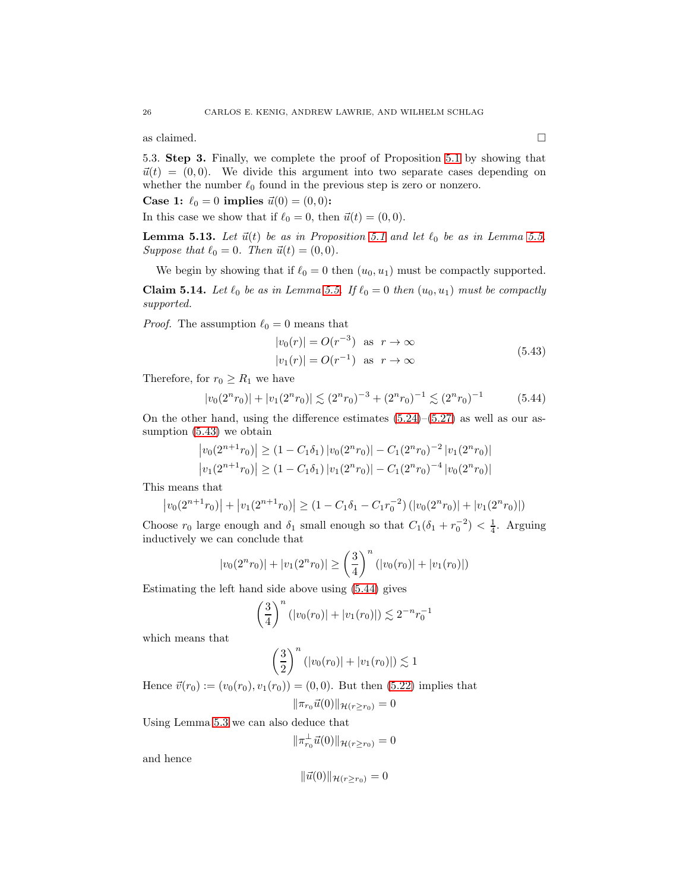as claimed.  $\hfill \square$ 

5.3. Step 3. Finally, we complete the proof of Proposition [5.1](#page-14-2) by showing that  $\vec{u}(t) = (0, 0)$ . We divide this argument into two separate cases depending on whether the number  $\ell_0$  found in the previous step is zero or nonzero.

**Case 1:**  $\ell_0 = 0$  implies  $\vec{u}(0) = (0, 0)$ :

In this case we show that if  $\ell_0 = 0$ , then  $\vec{u}(t) = (0, 0)$ .

<span id="page-25-2"></span>**Lemma [5.1](#page-14-2)3.** Let  $\vec{u}(t)$  be as in Proposition 5.1 and let  $\ell_0$  be as in Lemma [5.5.](#page-18-0) *Suppose that*  $\ell_0 = 0$ *. Then*  $\vec{u}(t) = (0, 0)$ *.* 

<span id="page-25-3"></span>We begin by showing that if  $\ell_0 = 0$  then  $(u_0, u_1)$  must be compactly supported. **Claim 5.14.** Let  $\ell_0$  be as in Lemma [5.5.](#page-18-0) If  $\ell_0 = 0$  then  $(u_0, u_1)$  must be compactly *supported.*

<span id="page-25-0"></span>*Proof.* The assumption  $\ell_0 = 0$  means that

$$
|v_0(r)| = O(r^{-3}) \text{ as } r \to \infty
$$
  

$$
|v_1(r)| = O(r^{-1}) \text{ as } r \to \infty
$$
 (5.43)

Therefore, for  $r_0 \geq R_1$  we have

$$
|v_0(2^n r_0)| + |v_1(2^n r_0)| \lesssim (2^n r_0)^{-3} + (2^n r_0)^{-1} \lesssim (2^n r_0)^{-1}
$$
 (5.44)

<span id="page-25-1"></span>On the other hand, using the difference estimates  $(5.24)$ – $(5.27)$  as well as our assumption [\(5.43\)](#page-25-0) we obtain

$$
\left|v_0(2^{n+1}r_0)\right| \ge (1 - C_1\delta_1) \left|v_0(2^n r_0)\right| - C_1(2^n r_0)^{-2} \left|v_1(2^n r_0)\right|
$$
  

$$
\left|v_1(2^{n+1}r_0)\right| \ge (1 - C_1\delta_1) \left|v_1(2^n r_0)\right| - C_1(2^n r_0)^{-4} \left|v_0(2^n r_0)\right|
$$

This means that

$$
|v_0(2^{n+1}r_0)| + |v_1(2^{n+1}r_0)| \ge (1 - C_1\delta_1 - C_1r_0^{-2}) (|v_0(2^n r_0)| + |v_1(2^n r_0)|)
$$

Choose  $r_0$  large enough and  $\delta_1$  small enough so that  $C_1(\delta_1 + r_0^{-2}) < \frac{1}{4}$ . Arguing inductively we can conclude that

$$
|v_0(2^n r_0)| + |v_1(2^n r_0)| \ge \left(\frac{3}{4}\right)^n (|v_0(r_0)| + |v_1(r_0)|)
$$

Estimating the left hand side above using [\(5.44\)](#page-25-1) gives

$$
\left(\frac{3}{4}\right)^n (|v_0(r_0)| + |v_1(r_0)|) \lesssim 2^{-n} r_0^{-1}
$$

which means that

$$
\left(\frac{3}{2}\right)^n (|v_0(r_0)| + |v_1(r_0)|) \lesssim 1
$$

Hence  $\vec{v}(r_0) := (v_0(r_0), v_1(r_0)) = (0, 0)$ . But then [\(5.22\)](#page-19-3) implies that  $\|\pi_{r},\vec{u}(0)\|_{\mathcal{H}(r>r)}=0$ 

$$
|\pi_{r_0}u(0)|\,|\mathcal{H}(r\geq r_0)|=0
$$

Using Lemma [5.3](#page-15-2) we can also deduce that

$$
\|\pi_{r_0}^{\perp}\vec{u}(0)\|_{\mathcal{H}(r\geq r_0)}=0
$$

and hence

$$
\|\vec{u}(0)\|_{\mathcal{H}(r\geq r_0)} = 0
$$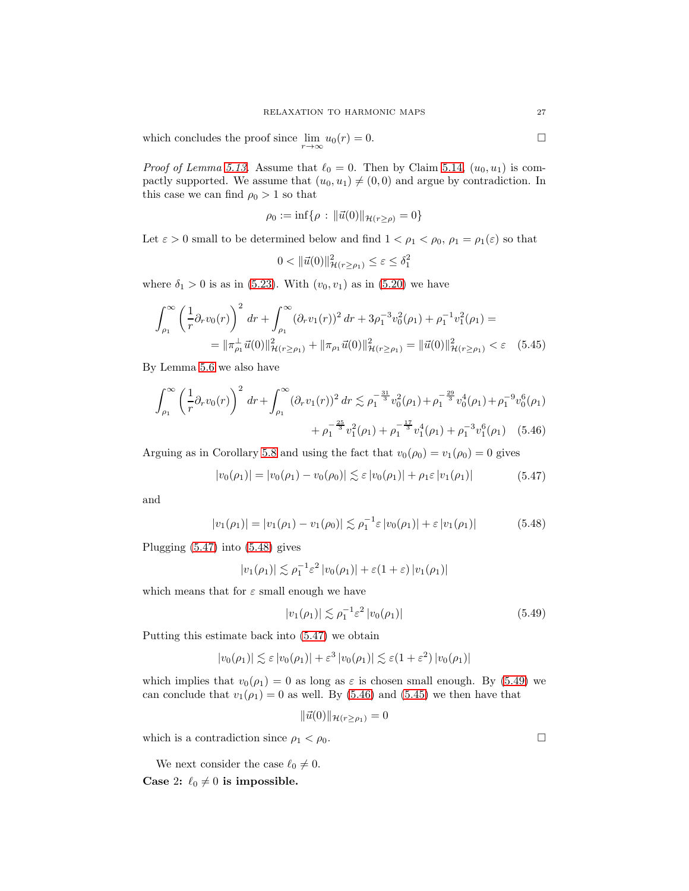which concludes the proof since  $\lim_{r \to \infty} u_0(r) = 0.$ 

*Proof of Lemma [5.13.](#page-25-2)* Assume that  $\ell_0 = 0$ . Then by Claim [5.14,](#page-25-3)  $(u_0, u_1)$  is compactly supported. We assume that  $(u_0, u_1) \neq (0, 0)$  and argue by contradiction. In this case we can find  $\rho_0 > 1$  so that

$$
\rho_0 := \inf \{ \rho : \|\vec{u}(0)\|_{\mathcal{H}(r \ge \rho)} = 0 \}
$$

Let  $\varepsilon > 0$  small to be determined below and find  $1 < \rho_1 < \rho_0$ ,  $\rho_1 = \rho_1(\varepsilon)$  so that

<span id="page-26-4"></span><span id="page-26-3"></span>
$$
0 < \|\vec{u}(0)\|_{\mathcal{H}(r \ge \rho_1)}^2 \le \varepsilon \le \delta_1^2
$$

where  $\delta_1 > 0$  is as in [\(5.23\)](#page-19-4). With  $(v_0, v_1)$  as in [\(5.20\)](#page-19-0) we have

$$
\int_{\rho_1}^{\infty} \left(\frac{1}{r} \partial_r v_0(r)\right)^2 dr + \int_{\rho_1}^{\infty} (\partial_r v_1(r))^2 dr + 3\rho_1^{-3} v_0^2(\rho_1) + \rho_1^{-1} v_1^2(\rho_1) =
$$
  
=  $||\pi_{\rho_1}^{\perp} \vec{u}(0)||_{\mathcal{H}(r \ge \rho_1)}^2 + ||\pi_{\rho_1} \vec{u}(0)||_{\mathcal{H}(r \ge \rho_1)}^2 = ||\vec{u}(0)||_{\mathcal{H}(r \ge \rho_1)}^2 < \varepsilon$  (5.45)

By Lemma [5.6](#page-19-1) we also have

$$
\int_{\rho_1}^{\infty} \left(\frac{1}{r} \partial_r v_0(r)\right)^2 dr + \int_{\rho_1}^{\infty} (\partial_r v_1(r))^2 dr \lesssim \rho_1^{-\frac{31}{3}} v_0^2(\rho_1) + \rho_1^{-\frac{29}{3}} v_0^4(\rho_1) + \rho_1^{-9} v_0^6(\rho_1) + \rho_1^{-\frac{25}{3}} v_1^2(\rho_1) + \rho_1^{-\frac{17}{3}} v_1^4(\rho_1) + \rho_1^{-3} v_1^6(\rho_1) \quad (5.46)
$$

<span id="page-26-0"></span>Arguing as in Corollary [5.8](#page-20-0) and using the fact that  $v_0(\rho_0) = v_1(\rho_0) = 0$  gives

$$
|v_0(\rho_1)| = |v_0(\rho_1) - v_0(\rho_0)| \lesssim \varepsilon |v_0(\rho_1)| + \rho_1 \varepsilon |v_1(\rho_1)| \tag{5.47}
$$

and

$$
|v_1(\rho_1)| = |v_1(\rho_1) - v_1(\rho_0)| \lesssim \rho_1^{-1} \varepsilon |v_0(\rho_1)| + \varepsilon |v_1(\rho_1)| \tag{5.48}
$$

<span id="page-26-1"></span>Plugging [\(5.47\)](#page-26-0) into [\(5.48\)](#page-26-1) gives

$$
|v_1(\rho_1)| \lesssim \rho_1^{-1} \varepsilon^2 |v_0(\rho_1)| + \varepsilon (1 + \varepsilon) |v_1(\rho_1)|
$$

which means that for  $\varepsilon$  small enough we have

$$
|v_1(\rho_1)| \lesssim \rho_1^{-1} \varepsilon^2 |v_0(\rho_1)| \tag{5.49}
$$

Putting this estimate back into [\(5.47\)](#page-26-0) we obtain

$$
|v_0(\rho_1)| \lesssim \varepsilon |v_0(\rho_1)| + \varepsilon^3 |v_0(\rho_1)| \lesssim \varepsilon (1 + \varepsilon^2) |v_0(\rho_1)|
$$

which implies that  $v_0(\rho_1) = 0$  as long as  $\varepsilon$  is chosen small enough. By [\(5.49\)](#page-26-2) we can conclude that  $v_1(\rho_1) = 0$  as well. By [\(5.46\)](#page-26-3) and [\(5.45\)](#page-26-4) we then have that

$$
|\vec{u}(0)||_{\mathcal{H}(r \geq \rho_1)} = 0
$$

which is a contradiction since  $\rho_1 < \rho_0$ .

We next consider the case  $\ell_0 \neq 0$ . Case 2:  $\ell_0 \neq 0$  is impossible.

<span id="page-26-2"></span>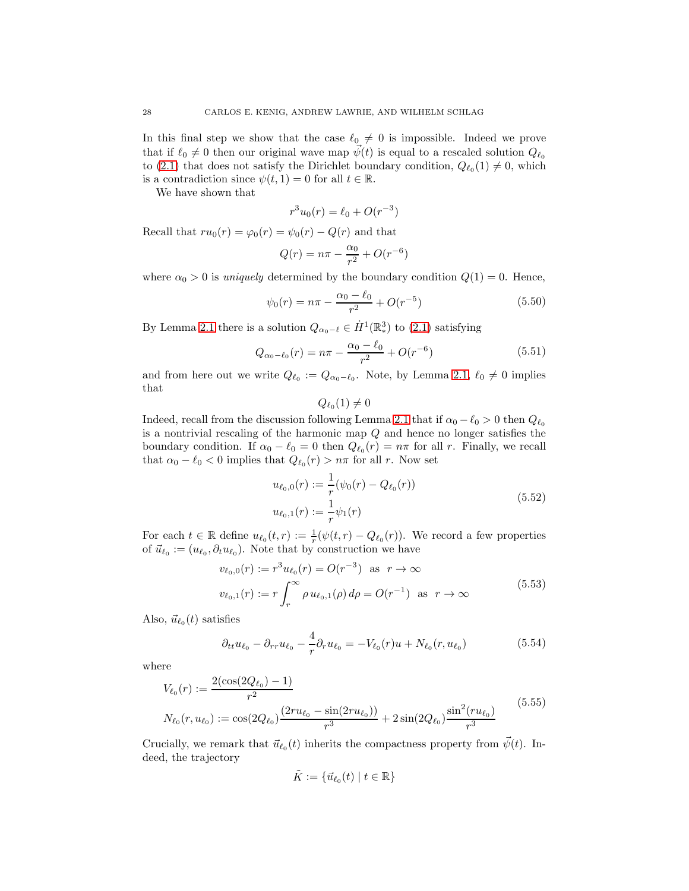In this final step we show that the case  $\ell_0 \neq 0$  is impossible. Indeed we prove that if  $\ell_0 \neq 0$  then our original wave map  $\psi(t)$  is equal to a rescaled solution  $Q_{\ell_0}$ to [\(2.1\)](#page-2-1) that does not satisfy the Dirichlet boundary condition,  $Q_{\ell_0}(1) \neq 0$ , which is a contradiction since  $\psi(t, 1) = 0$  for all  $t \in \mathbb{R}$ .

We have shown that

$$
r^3 u_0(r) = \ell_0 + O(r^{-3})
$$

Recall that  $ru_0(r) = \varphi_0(r) = \psi_0(r) - Q(r)$  and that

$$
Q(r) = n\pi - \frac{\alpha_0}{r^2} + O(r^{-6})
$$

where  $\alpha_0 > 0$  is *uniquely* determined by the boundary condition  $Q(1) = 0$ . Hence,

$$
\psi_0(r) = n\pi - \frac{\alpha_0 - \ell_0}{r^2} + O(r^{-5})
$$
\n(5.50)

By Lemma [2.1](#page-2-2) there is a solution  $Q_{\alpha_0-\ell} \in \dot{H}^1(\mathbb{R}^3)$  to [\(2.1\)](#page-2-1) satisfying

$$
Q_{\alpha_0 - \ell_0}(r) = n\pi - \frac{\alpha_0 - \ell_0}{r^2} + O(r^{-6})
$$
\n(5.51)

<span id="page-27-3"></span>and from here out we write  $Q_{\ell_0} := Q_{\alpha_0 - \ell_0}$ . Note, by Lemma [2.1,](#page-2-2)  $\ell_0 \neq 0$  implies that

<span id="page-27-2"></span><span id="page-27-0"></span> $Q_{\ell_0}(1)\neq 0$ 

Indeed, recall from the discussion following Lemma [2.1](#page-2-2) that if  $\alpha_0 - \ell_0 > 0$  then  $Q_{\ell_0}$ is a nontrivial rescaling of the harmonic map Q and hence no longer satisfies the boundary condition. If  $\alpha_0 - \ell_0 = 0$  then  $Q_{\ell_0}(r) = n\pi$  for all r. Finally, we recall that  $\alpha_0 - \ell_0 < 0$  implies that  $Q_{\ell_0}(r) > n\pi$  for all r. Now set

$$
u_{\ell_0,0}(r) := \frac{1}{r} (\psi_0(r) - Q_{\ell_0}(r))
$$
  
\n
$$
u_{\ell_0,1}(r) := \frac{1}{r} \psi_1(r)
$$
\n(5.52)

For each  $t \in \mathbb{R}$  define  $u_{\ell_0}(t,r) := \frac{1}{r}(\psi(t,r) - Q_{\ell_0}(r))$ . We record a few properties of  $\vec{u}_{\ell_0} := (u_{\ell_0}, \partial_t u_{\ell_0})$ . Note that by construction we have

$$
v_{\ell_0,0}(r) := r^3 u_{\ell_0}(r) = O(r^{-3}) \text{ as } r \to \infty
$$
  

$$
v_{\ell_0,1}(r) := r \int_r^{\infty} \rho u_{\ell_0,1}(\rho) d\rho = O(r^{-1}) \text{ as } r \to \infty
$$
 (5.53)

Also,  $\vec{u}_{\ell_0}(t)$  satisfies

$$
\partial_{tt} u_{\ell_0} - \partial_{rr} u_{\ell_0} - \frac{4}{r} \partial_r u_{\ell_0} = -V_{\ell_0}(r)u + N_{\ell_0}(r, u_{\ell_0})
$$
\n(5.54)

<span id="page-27-1"></span>where

$$
V_{\ell_0}(r) := \frac{2(\cos(2Q_{\ell_0}) - 1)}{r^2}
$$
  

$$
N_{\ell_0}(r, u_{\ell_0}) := \cos(2Q_{\ell_0}) \frac{(2ru_{\ell_0} - \sin(2ru_{\ell_0}))}{r^3} + 2\sin(2Q_{\ell_0}) \frac{\sin^2(ru_{\ell_0})}{r^3}
$$
(5.55)

Crucially, we remark that  $\vec{u}_{\ell_0}(t)$  inherits the compactness property from  $\vec{\psi}(t)$ . Indeed, the trajectory

$$
\tilde{K} := \{ \vec{u}_{\ell_0}(t) \mid t \in \mathbb{R} \}
$$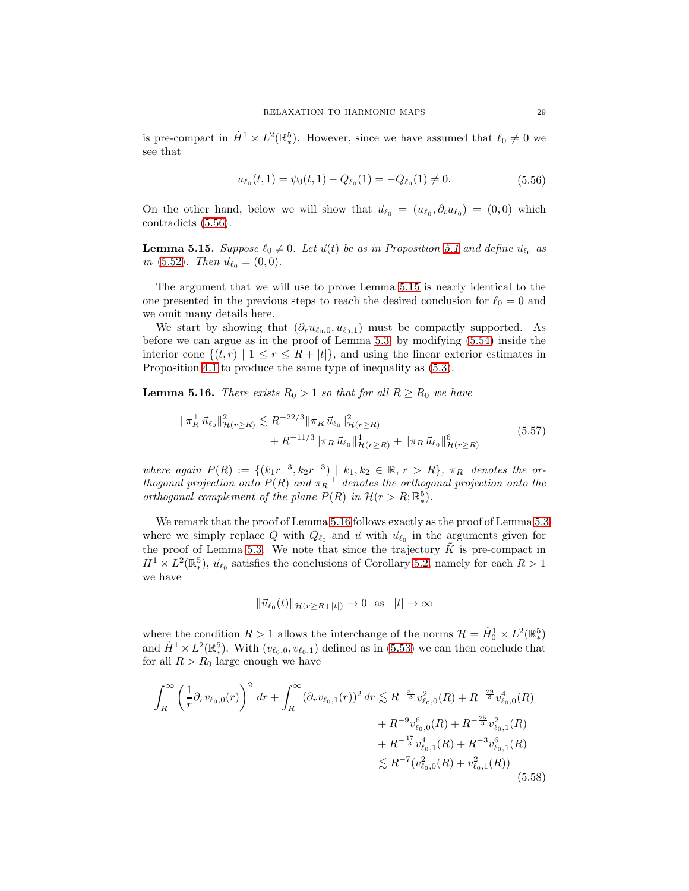is pre-compact in  $\dot{H}^1 \times L^2(\mathbb{R}^5)$ . However, since we have assumed that  $\ell_0 \neq 0$  we see that

$$
u_{\ell_0}(t,1) = \psi_0(t,1) - Q_{\ell_0}(1) = -Q_{\ell_0}(1) \neq 0.
$$
\n(5.56)

<span id="page-28-0"></span>On the other hand, below we will show that  $\vec{u}_{\ell_0} = (u_{\ell_0}, \partial_t u_{\ell_0}) = (0, 0)$  which contradicts [\(5.56\)](#page-28-0).

<span id="page-28-1"></span>**Lemma [5.1](#page-14-2)5.** *Suppose*  $\ell_0 \neq 0$ *. Let*  $\vec{u}(t)$  *be as in Proposition* 5.1 *and define*  $\vec{u}_{\ell_0}$  *as in* [\(5.52\)](#page-27-0)*. Then*  $\vec{u}_{\ell_0} = (0, 0)$ *.* 

The argument that we will use to prove Lemma [5.15](#page-28-1) is nearly identical to the one presented in the previous steps to reach the desired conclusion for  $\ell_0 = 0$  and we omit many details here.

We start by showing that  $(\partial_r u_{\ell_0,0}, u_{\ell_0,1})$  must be compactly supported. As before we can argue as in the proof of Lemma [5.3,](#page-15-2) by modifying [\(5.54\)](#page-27-1) inside the interior cone  $\{(t, r) | 1 \le r \le R + |t|\}$ , and using the linear exterior estimates in Proposition [4.1](#page-12-0) to produce the same type of inequality as [\(5.3\)](#page-15-1).

<span id="page-28-2"></span>**Lemma 5.16.** *There exists*  $R_0 > 1$  *so that for all*  $R \ge R_0$  *we have* 

$$
\|\pi_R^{\perp}\vec{u}_{\ell_0}\|_{\mathcal{H}(r\geq R)}^2 \lesssim R^{-22/3} \|\pi_R\vec{u}_{\ell_0}\|_{\mathcal{H}(r\geq R)}^2 + R^{-11/3} \|\pi_R\vec{u}_{\ell_0}\|_{\mathcal{H}(r\geq R)}^4 + \|\pi_R\vec{u}_{\ell_0}\|_{\mathcal{H}(r\geq R)}^6
$$
(5.57)

<span id="page-28-3"></span> $where again P(R) := \{(k_1r^{-3}, k_2r^{-3}) | k_1, k_2 \in \mathbb{R}, r > R\}, \pi_R \text{ denotes the or-}$ *thogonal projection onto*  $P(R)$  *and*  $\pi_R \perp$  *denotes the orthogonal projection onto the orthogonal complement of the plane*  $P(R)$  *in*  $\mathcal{H}(r > R; \mathbb{R}^5)$ *.* 

We remark that the proof of Lemma [5.16](#page-28-2) follows exactly as the proof of Lemma [5.3](#page-15-2) where we simply replace Q with  $Q_{\ell_0}$  and  $\vec{u}$  with  $\vec{u}_{\ell_0}$  in the arguments given for the proof of Lemma [5.3.](#page-15-2) We note that since the trajectory  $\tilde{K}$  is pre-compact in  $\dot{H}^1 \times L^2(\mathbb{R}^5)$ ,  $\vec{u}_{\ell_0}$  satisfies the conclusions of Corollary [5.2,](#page-14-3) namely for each  $R > 1$ we have

<span id="page-28-4"></span>
$$
\|\vec{u}_{\ell_0}(t)\|_{\mathcal{H}(r\geq R+|t|)} \to 0 \text{ as } |t| \to \infty
$$

where the condition  $R > 1$  allows the interchange of the norms  $\mathcal{H} = \dot{H}_0^1 \times L^2(\mathbb{R}^5)$ and  $\dot{H}^1 \times L^2(\mathbb{R}^5)$ . With  $(v_{\ell_0,0}, v_{\ell_0,1})$  defined as in [\(5.53\)](#page-27-2) we can then conclude that for all  $R > R_0$  large enough we have

$$
\int_{R}^{\infty} \left(\frac{1}{r} \partial_r v_{\ell_0,0}(r)\right)^2 dr + \int_{R}^{\infty} (\partial_r v_{\ell_0,1}(r))^2 dr \lesssim R^{-\frac{31}{3}} v_{\ell_0,0}^2(R) + R^{-\frac{29}{3}} v_{\ell_0,0}^4(R) \n+ R^{-9} v_{\ell_0,0}^6(R) + R^{-\frac{25}{3}} v_{\ell_0,1}^2(R) \n+ R^{-\frac{17}{3}} v_{\ell_0,1}^4(R) + R^{-3} v_{\ell_0,1}^6(R) \n\lesssim R^{-7} (v_{\ell_0,0}^2(R) + v_{\ell_0,1}^2(R))
$$
\n(5.58)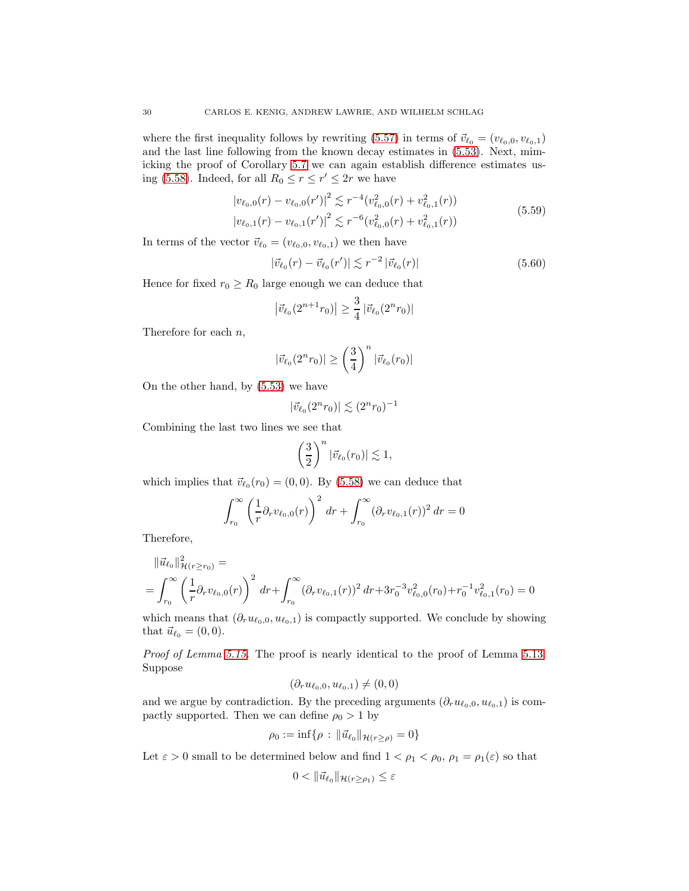where the first inequality follows by rewriting [\(5.57\)](#page-28-3) in terms of  $\vec{v}_{\ell_0} = (v_{\ell_0,0}, v_{\ell_0,1})$ and the last line following from the known decay estimates in [\(5.53\)](#page-27-2). Next, mimicking the proof of Corollary [5.7](#page-19-2) we can again establish difference estimates us-ing [\(5.58\)](#page-28-4). Indeed, for all  $R_0 \le r \le r' \le 2r$  we have

$$
\left| v_{\ell_0,0}(r) - v_{\ell_0,0}(r') \right|^2 \lesssim r^{-4} \left( v_{\ell_0,0}^2(r) + v_{\ell_0,1}^2(r) \right)
$$
  

$$
\left| v_{\ell_0,1}(r) - v_{\ell_0,1}(r') \right|^2 \lesssim r^{-6} \left( v_{\ell_0,0}^2(r) + v_{\ell_0,1}^2(r) \right)
$$
 (5.59)

In terms of the vector  $\vec{v}_{\ell_0} = (v_{\ell_0,0}, v_{\ell_0,1})$  we then have

$$
|\vec{v}_{\ell_0}(r) - \vec{v}_{\ell_0}(r')| \lesssim r^{-2} |\vec{v}_{\ell_0}(r)| \tag{5.60}
$$

Hence for fixed  $r_0 \geq R_0$  large enough we can deduce that

$$
\left|\vec{v}_{\ell_0}(2^{n+1}r_0)\right| \ge \frac{3}{4} \left|\vec{v}_{\ell_0}(2^n r_0)\right|
$$

Therefore for each  $n$ ,

$$
|\vec{v}_{\ell_0}(2^n r_0)| \ge \left(\frac{3}{4}\right)^n |\vec{v}_{\ell_0}(r_0)|
$$

On the other hand, by [\(5.53\)](#page-27-2) we have

$$
|\vec{v}_{\ell_0}(2^n r_0)| \lesssim (2^n r_0)^{-1}
$$

Combining the last two lines we see that

$$
\left(\frac{3}{2}\right)^n |\vec{v}_{\ell_0}(r_0)| \lesssim 1,
$$

which implies that  $\vec{v}_{\ell_0}(r_0) = (0,0)$ . By [\(5.58\)](#page-28-4) we can deduce that

$$
\int_{r_0}^{\infty} \left(\frac{1}{r} \partial_r v_{\ell_0,0}(r)\right)^2 dr + \int_{r_0}^{\infty} (\partial_r v_{\ell_0,1}(r))^2 dr = 0
$$

Therefore,

$$
\begin{aligned} \|\vec{u}_{\ell_0}\|_{\mathcal{H}(r\geq r_0)}^2 &= \\ &= \int_{r_0}^{\infty} \left(\frac{1}{r} \partial_r v_{\ell_0,0}(r)\right)^2 \, dr + \int_{r_0}^{\infty} (\partial_r v_{\ell_0,1}(r))^2 \, dr + 3r_0^{-3} v_{\ell_0,0}^2(r_0) + r_0^{-1} v_{\ell_0,1}^2(r_0) = 0 \end{aligned}
$$

which means that  $(\partial_r u_{\ell_0,0}, u_{\ell_0,1})$  is compactly supported. We conclude by showing that  $\vec{u}_{\ell_0} = (0, 0)$ .

*Proof of Lemma [5.15.](#page-28-1)* The proof is nearly identical to the proof of Lemma [5.13.](#page-25-2) Suppose

$$
(\partial_r u_{\ell_0,0}, u_{\ell_0,1}) \neq (0,0)
$$

and we argue by contradiction. By the preceding arguments  $(\partial_r u_{\ell_0,0}, u_{\ell_0,1})$  is compactly supported. Then we can define  $\rho_0 > 1$  by

$$
\rho_0 := \inf \{ \rho : \|\vec{u}_{\ell_0}\|_{\mathcal{H}(r \ge \rho)} = 0 \}
$$

Let  $\varepsilon > 0$  small to be determined below and find  $1 < \rho_1 < \rho_0$ ,  $\rho_1 = \rho_1(\varepsilon)$  so that

$$
0<\|\vec{u}_{\ell_0}\|_{\mathcal{H}(r\geq\rho_1)}\leq\varepsilon
$$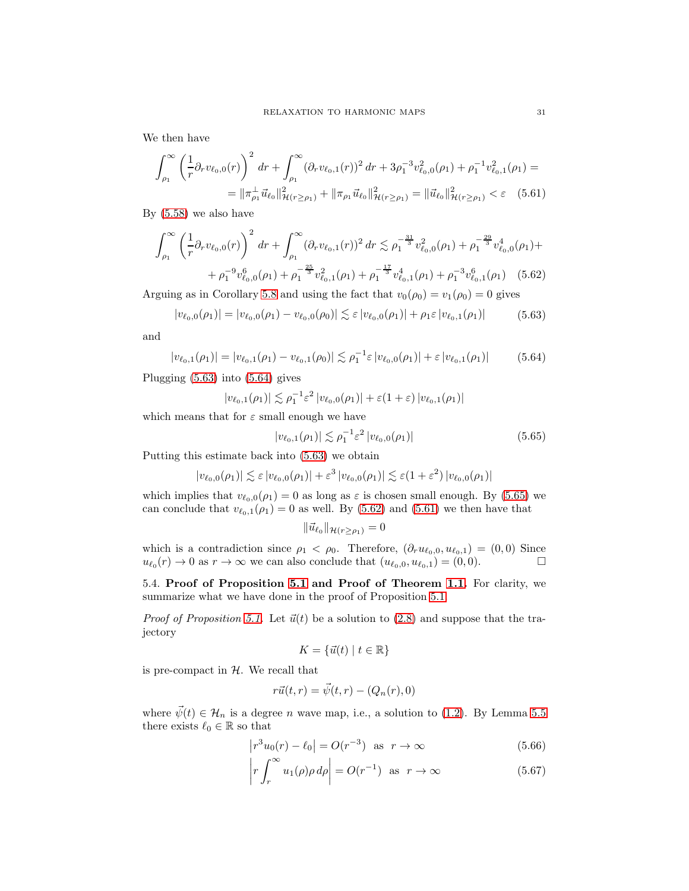We then have

$$
\int_{\rho_1}^{\infty} \left(\frac{1}{r} \partial_r v_{\ell_0,0}(r)\right)^2 dr + \int_{\rho_1}^{\infty} (\partial_r v_{\ell_0,1}(r))^2 dr + 3\rho_1^{-3} v_{\ell_0,0}^2(\rho_1) + \rho_1^{-1} v_{\ell_0,1}^2(\rho_1) =
$$
  
=  $\|\pi_{\rho_1}^{\perp} \vec{u}_{\ell_0}\|_{\mathcal{H}(r \ge \rho_1)}^2 + \|\pi_{\rho_1} \vec{u}_{\ell_0}\|_{\mathcal{H}(r \ge \rho_1)}^2 = \|\vec{u}_{\ell_0}\|_{\mathcal{H}(r \ge \rho_1)}^2 < \varepsilon$  (5.61)

By [\(5.58\)](#page-28-4) we also have

$$
\int_{\rho_1}^{\infty} \left(\frac{1}{r} \partial_r v_{\ell_0,0}(r)\right)^2 dr + \int_{\rho_1}^{\infty} (\partial_r v_{\ell_0,1}(r))^2 dr \lesssim \rho_1^{-\frac{31}{3}} v_{\ell_0,0}^2(\rho_1) + \rho_1^{-\frac{29}{3}} v_{\ell_0,0}^4(\rho_1) + + \rho_1^{-9} v_{\ell_0,0}^6(\rho_1) + \rho_1^{-\frac{25}{3}} v_{\ell_0,1}^2(\rho_1) + \rho_1^{-\frac{17}{3}} v_{\ell_0,1}^4(\rho_1) + \rho_1^{-3} v_{\ell_0,1}^6(\rho_1) \quad (5.62)
$$

<span id="page-30-0"></span>Arguing as in Corollary [5.8](#page-20-0) and using the fact that  $v_0(\rho_0) = v_1(\rho_0) = 0$  gives

$$
|v_{\ell_0,0}(\rho_1)| = |v_{\ell_0,0}(\rho_1) - v_{\ell_0,0}(\rho_0)| \lesssim \varepsilon |v_{\ell_0,0}(\rho_1)| + \rho_1 \varepsilon |v_{\ell_0,1}(\rho_1)| \tag{5.63}
$$

<span id="page-30-1"></span>and

$$
|v_{\ell_0,1}(\rho_1)| = |v_{\ell_0,1}(\rho_1) - v_{\ell_0,1}(\rho_0)| \lesssim \rho_1^{-1} \varepsilon |v_{\ell_0,0}(\rho_1)| + \varepsilon |v_{\ell_0,1}(\rho_1)| \tag{5.64}
$$

Plugging [\(5.63\)](#page-30-0) into [\(5.64\)](#page-30-1) gives

$$
|v_{\ell_0,1}(\rho_1)| \lesssim \rho_1^{-1} \varepsilon^2 |v_{\ell_0,0}(\rho_1)| + \varepsilon (1+\varepsilon) |v_{\ell_0,1}(\rho_1)|
$$

which means that for  $\varepsilon$  small enough we have

<span id="page-30-4"></span><span id="page-30-3"></span>
$$
|v_{\ell_0,1}(\rho_1)| \lesssim \rho_1^{-1} \varepsilon^2 |v_{\ell_0,0}(\rho_1)| \tag{5.65}
$$

Putting this estimate back into [\(5.63\)](#page-30-0) we obtain

$$
|v_{\ell_0,0}(\rho_1)| \lesssim \varepsilon |v_{\ell_0,0}(\rho_1)| + \varepsilon^3 |v_{\ell_0,0}(\rho_1)| \lesssim \varepsilon (1 + \varepsilon^2) |v_{\ell_0,0}(\rho_1)|
$$

which implies that  $v_{\ell_0,0}(\rho_1) = 0$  as long as  $\varepsilon$  is chosen small enough. By [\(5.65\)](#page-30-2) we can conclude that  $v_{\ell_0,1}(\rho_1)=0$  as well. By [\(5.62\)](#page-30-3) and [\(5.61\)](#page-30-4) we then have that

<span id="page-30-2"></span>
$$
\|\vec{u}_{\ell_0}\|_{\mathcal{H}(r\geq\rho_1)}=0
$$

which is a contradiction since  $\rho_1 < \rho_0$ . Therefore,  $(\partial_r u_{\ell_0,0}, u_{\ell_0,1}) = (0,0)$  Since  $u_{\ell_0}(r) \to 0$  as  $r \to \infty$  we can also conclude that  $(u_{\ell_0,0}, u_{\ell_0,1}) = (0,0).$ 

5.4. Proof of Proposition [5.1](#page-14-2) and Proof of Theorem [1.1.](#page-2-0) For clarity, we summarize what we have done in the proof of Proposition [5.1.](#page-14-2)

*Proof of Proposition* [5.1.](#page-14-2) Let  $\vec{u}(t)$  be a solution to [\(2.8\)](#page-4-1) and suppose that the trajectory

$$
K = \{ \vec{u}(t) \mid t \in \mathbb{R} \}
$$

is pre-compact in  $H$ . We recall that

$$
r\vec{u}(t,r) = \vec{\psi}(t,r) - (Q_n(r),0)
$$

where  $\bar{\psi}(t) \in \mathcal{H}_n$  is a degree *n* wave map, i.e., a solution to [\(1.2\)](#page-0-0). By Lemma [5.5](#page-18-0) there exists  $\ell_0 \in \mathbb{R}$  so that

$$
\left| r^3 u_0(r) - \ell_0 \right| = O(r^{-3}) \quad \text{as} \quad r \to \infty \tag{5.66}
$$

$$
\left| r \int_{r}^{\infty} u_1(\rho) \rho \, d\rho \right| = O(r^{-1}) \quad \text{as} \quad r \to \infty \tag{5.67}
$$